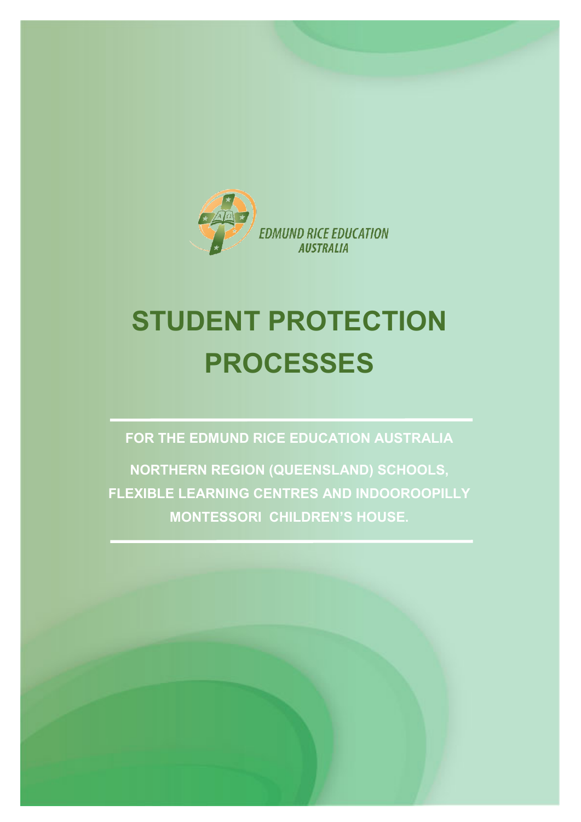

# **STUDENT PROTECTION PROCESSES**

**FOR THE EDMUND RICE EDUCATION AUSTRALIA**

**NORTHERN REGION (QUEENSLAND) SCHOOLS, FLEXIBLE LEARNING CENTRES AND INDOOROOPILLY MONTESSORI CHILDREN'S HOUSE.**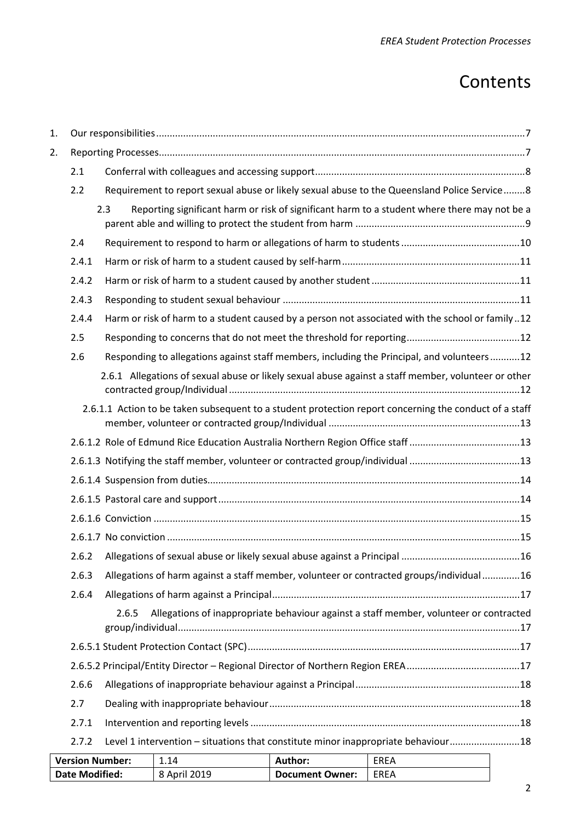# **Contents**

| 1.                                                                                                 |                        |       |              |                        |                                                                                                        |  |
|----------------------------------------------------------------------------------------------------|------------------------|-------|--------------|------------------------|--------------------------------------------------------------------------------------------------------|--|
| 2.                                                                                                 |                        |       |              |                        |                                                                                                        |  |
|                                                                                                    | 2.1                    |       |              |                        |                                                                                                        |  |
| Requirement to report sexual abuse or likely sexual abuse to the Queensland Police Service8<br>2.2 |                        |       |              |                        |                                                                                                        |  |
|                                                                                                    |                        | 2.3   |              |                        | Reporting significant harm or risk of significant harm to a student where there may not be a           |  |
|                                                                                                    | 2.4                    |       |              |                        |                                                                                                        |  |
|                                                                                                    | 2.4.1                  |       |              |                        |                                                                                                        |  |
|                                                                                                    | 2.4.2                  |       |              |                        |                                                                                                        |  |
|                                                                                                    | 2.4.3                  |       |              |                        |                                                                                                        |  |
|                                                                                                    | 2.4.4                  |       |              |                        | Harm or risk of harm to a student caused by a person not associated with the school or family12        |  |
|                                                                                                    | 2.5                    |       |              |                        |                                                                                                        |  |
|                                                                                                    | 2.6                    |       |              |                        | Responding to allegations against staff members, including the Principal, and volunteers12             |  |
|                                                                                                    |                        |       |              |                        | 2.6.1 Allegations of sexual abuse or likely sexual abuse against a staff member, volunteer or other    |  |
|                                                                                                    |                        |       |              |                        | 2.6.1.1 Action to be taken subsequent to a student protection report concerning the conduct of a staff |  |
|                                                                                                    |                        |       |              |                        | 2.6.1.2 Role of Edmund Rice Education Australia Northern Region Office staff 13                        |  |
|                                                                                                    |                        |       |              |                        |                                                                                                        |  |
|                                                                                                    |                        |       |              |                        |                                                                                                        |  |
|                                                                                                    |                        |       |              |                        |                                                                                                        |  |
|                                                                                                    |                        |       |              |                        |                                                                                                        |  |
|                                                                                                    |                        |       |              |                        |                                                                                                        |  |
|                                                                                                    | 2.6.2                  |       |              |                        |                                                                                                        |  |
|                                                                                                    | 2.6.3                  |       |              |                        | Allegations of harm against a staff member, volunteer or contracted groups/individual16                |  |
|                                                                                                    | 2.6.4                  |       |              |                        |                                                                                                        |  |
|                                                                                                    |                        | 2.6.5 |              |                        | Allegations of inappropriate behaviour against a staff member, volunteer or contracted                 |  |
|                                                                                                    |                        |       |              |                        |                                                                                                        |  |
|                                                                                                    |                        |       |              |                        |                                                                                                        |  |
|                                                                                                    | 2.6.6                  |       |              |                        |                                                                                                        |  |
|                                                                                                    | 2.7                    |       |              |                        |                                                                                                        |  |
|                                                                                                    | 2.7.1                  |       |              |                        |                                                                                                        |  |
|                                                                                                    | 2.7.2                  |       |              |                        | Level 1 intervention - situations that constitute minor inappropriate behaviour18                      |  |
|                                                                                                    | <b>Version Number:</b> |       | 1.14         | Author:                | <b>EREA</b>                                                                                            |  |
|                                                                                                    | <b>Date Modified:</b>  |       | 8 April 2019 | <b>Document Owner:</b> | <b>EREA</b>                                                                                            |  |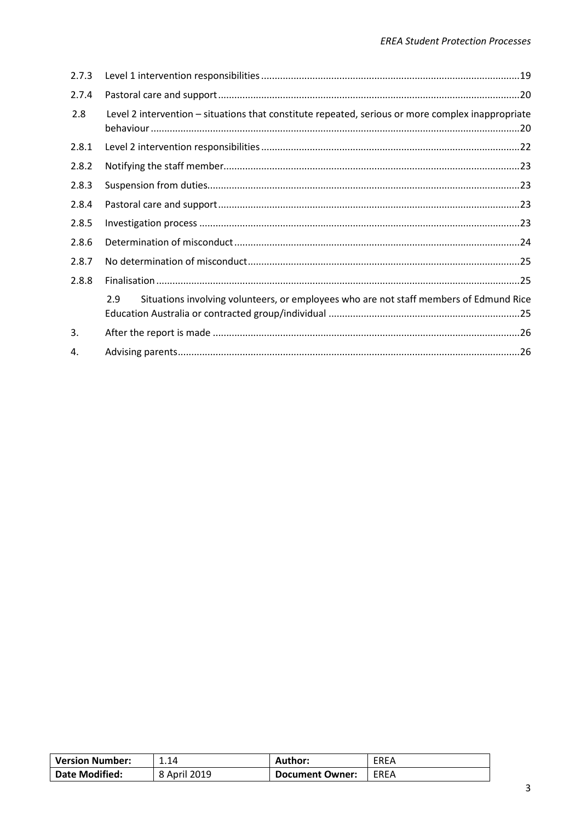| 2.7.3 |                                                                                                   |  |
|-------|---------------------------------------------------------------------------------------------------|--|
| 2.7.4 |                                                                                                   |  |
| 2.8   | Level 2 intervention - situations that constitute repeated, serious or more complex inappropriate |  |
| 2.8.1 |                                                                                                   |  |
| 2.8.2 |                                                                                                   |  |
| 2.8.3 |                                                                                                   |  |
| 2.8.4 |                                                                                                   |  |
| 2.8.5 |                                                                                                   |  |
| 2.8.6 |                                                                                                   |  |
| 2.8.7 |                                                                                                   |  |
| 2.8.8 |                                                                                                   |  |
|       | Situations involving volunteers, or employees who are not staff members of Edmund Rice<br>2.9     |  |
| 3.    |                                                                                                   |  |
| 4.    |                                                                                                   |  |

| <b>Version Number:</b> | 1.14         | Author:                | EREA |
|------------------------|--------------|------------------------|------|
| <b>Date Modified:</b>  | 8 April 2019 | <b>Document Owner:</b> | EREA |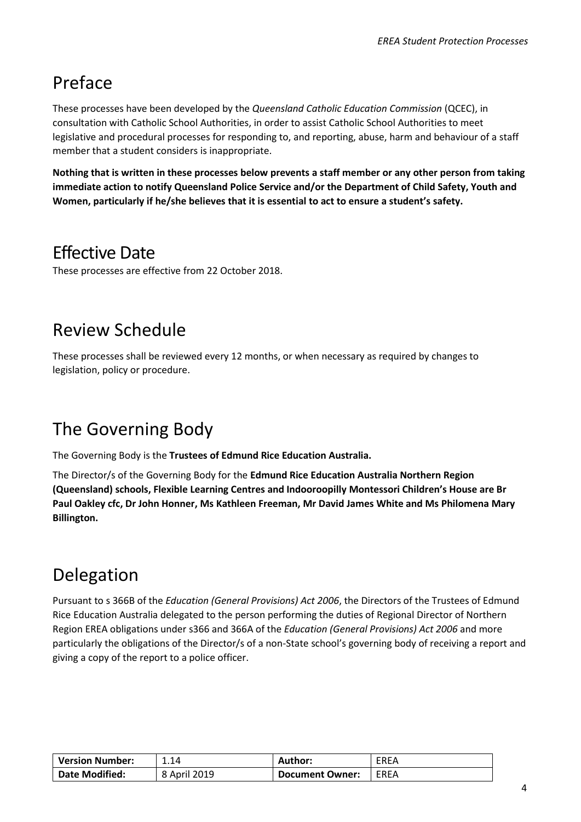# Preface

These processes have been developed by the *Queensland Catholic Education Commission* (QCEC), in consultation with Catholic School Authorities, in order to assist Catholic School Authorities to meet legislative and procedural processes for responding to, and reporting, abuse, harm and behaviour of a staff member that a student considers is inappropriate.

**Nothing that is written in these processes below prevents a staff member or any other person from taking immediate action to notify Queensland Police Service and/or the Department of Child Safety, Youth and Women, particularly if he/she believes that it is essential to act to ensure a student's safety.**

# Effective Date

These processes are effective from 22 October 2018.

# Review Schedule

These processes shall be reviewed every 12 months, or when necessary as required by changes to legislation, policy or procedure.

# The Governing Body

The Governing Body is the **Trustees of Edmund Rice Education Australia.**

The Director/s of the Governing Body for the **Edmund Rice Education Australia Northern Region (Queensland) schools, Flexible Learning Centres and Indooroopilly Montessori Children's House are Br Paul Oakley cfc, Dr John Honner, Ms Kathleen Freeman, Mr David James White and Ms Philomena Mary Billington.**

# Delegation

Pursuant to s 366B of the *Education (General Provisions) Act 2006*, the Directors of the Trustees of Edmund Rice Education Australia delegated to the person performing the duties of Regional Director of Northern Region EREA obligations under s366 and 366A of the *Education (General Provisions) Act 2006* and more particularly the obligations of the Director/s of a non-State school's governing body of receiving a report and giving a copy of the report to a police officer.

| <b>Version Number:</b> | 1.14         | Author:                | EREA |
|------------------------|--------------|------------------------|------|
| <b>Date Modified:</b>  | 8 April 2019 | <b>Document Owner:</b> | EREA |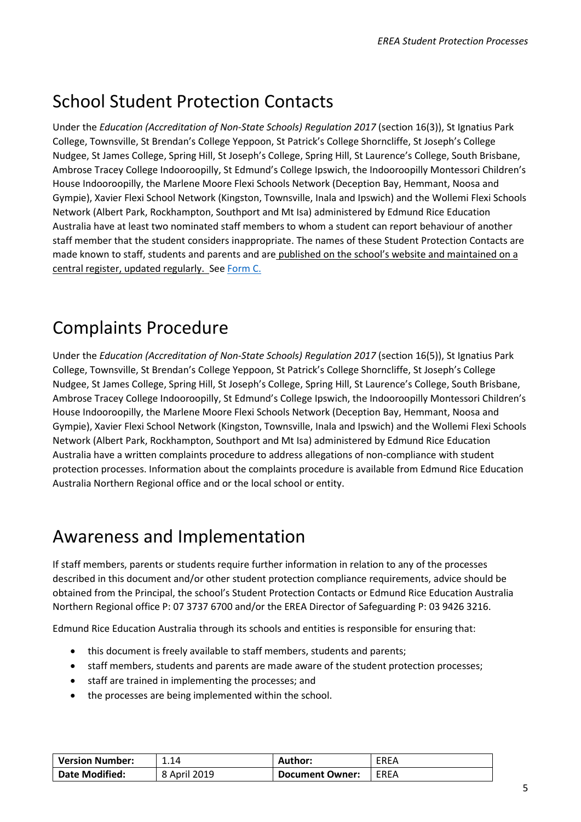# School Student Protection Contacts

Under the *Education (Accreditation of Non-State Schools) Regulation 2017* (section 16(3)), St Ignatius Park College, Townsville, St Brendan's College Yeppoon, St Patrick's College Shorncliffe, St Joseph's College Nudgee, St James College, Spring Hill, St Joseph's College, Spring Hill, St Laurence's College, South Brisbane, Ambrose Tracey College Indooroopilly, St Edmund's College Ipswich, the Indooroopilly Montessori Children's House Indooroopilly, the Marlene Moore Flexi Schools Network (Deception Bay, Hemmant, Noosa and Gympie), Xavier Flexi School Network (Kingston, Townsville, Inala and Ipswich) and the Wollemi Flexi Schools Network (Albert Park, Rockhampton, Southport and Mt Isa) administered by Edmund Rice Education Australia have at least two nominated staff members to whom a student can report behaviour of another staff member that the student considers inappropriate. The names of these Student Protection Contacts are made known to staff, students and parents and are published on the school's website and maintained on a central register, updated regularly. See [Form C.](#page-31-0)

# Complaints Procedure

Under the *Education (Accreditation of Non-State Schools) Regulation 2017* (section 16(5)), St Ignatius Park College, Townsville, St Brendan's College Yeppoon, St Patrick's College Shorncliffe, St Joseph's College Nudgee, St James College, Spring Hill, St Joseph's College, Spring Hill, St Laurence's College, South Brisbane, Ambrose Tracey College Indooroopilly, St Edmund's College Ipswich, the Indooroopilly Montessori Children's House Indooroopilly, the Marlene Moore Flexi Schools Network (Deception Bay, Hemmant, Noosa and Gympie), Xavier Flexi School Network (Kingston, Townsville, Inala and Ipswich) and the Wollemi Flexi Schools Network (Albert Park, Rockhampton, Southport and Mt Isa) administered by Edmund Rice Education Australia have a written complaints procedure to address allegations of non-compliance with student protection processes. Information about the complaints procedure is available from Edmund Rice Education Australia Northern Regional office and or the local school or entity.

# Awareness and Implementation

If staff members, parents or students require further information in relation to any of the processes described in this document and/or other student protection compliance requirements, advice should be obtained from the Principal, the school's Student Protection Contacts or Edmund Rice Education Australia Northern Regional office P: 07 3737 6700 and/or the EREA Director of Safeguarding P: 03 9426 3216.

Edmund Rice Education Australia through its schools and entities is responsible for ensuring that:

- this document is freely available to staff members, students and parents;
- staff members, students and parents are made aware of the student protection processes;
- staff are trained in implementing the processes; and
- the processes are being implemented within the school.

| <b>Version Number:</b> | 1.14         | <b>Author:</b>  | EREA   |
|------------------------|--------------|-----------------|--------|
| <b>Date Modified:</b>  | 8 April 2019 | Document Owner: | I FRFA |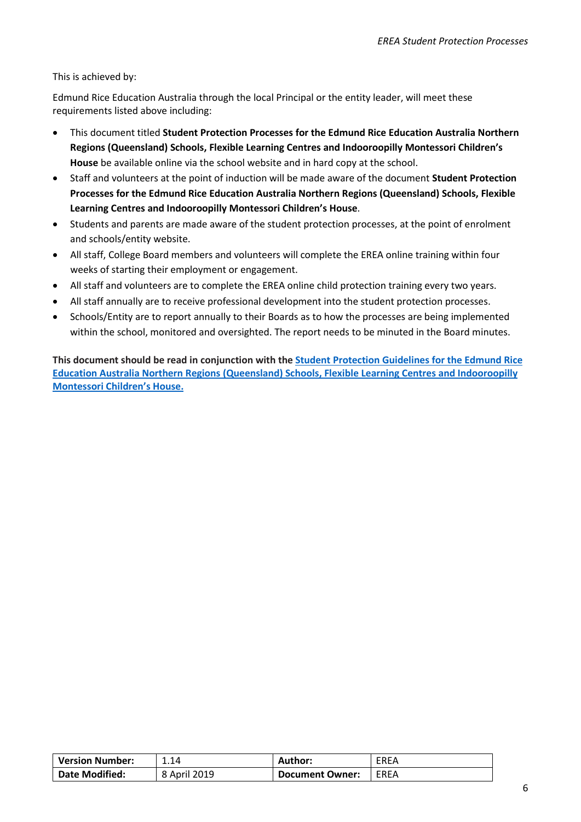This is achieved by:

Edmund Rice Education Australia through the local Principal or the entity leader, will meet these requirements listed above including:

- This document titled **Student Protection Processes for the Edmund Rice Education Australia Northern Regions (Queensland) Schools, Flexible Learning Centres and Indooroopilly Montessori Children's House** be available online via the school website and in hard copy at the school.
- Staff and volunteers at the point of induction will be made aware of the document **Student Protection Processes for the Edmund Rice Education Australia Northern Regions (Queensland) Schools, Flexible Learning Centres and Indooroopilly Montessori Children's House**.
- Students and parents are made aware of the student protection processes, at the point of enrolment and schools/entity website.
- All staff, College Board members and volunteers will complete the EREA online training within four weeks of starting their employment or engagement.
- All staff and volunteers are to complete the EREA online child protection training every two years.
- All staff annually are to receive professional development into the student protection processes.
- Schools/Entity are to report annually to their Boards as to how the processes are being implemented within the school, monitored and oversighted. The report needs to be minuted in the Board minutes.

**This document should be read in conjunction with th[e Student Protection Guidelines for the Edmund Rice](#page-36-0)  Education Australia [Northern Regions \(Queensland\) Schools, Flexible Learning Centres and Indooroopilly](#page-36-0)  [Montessori Children's House.](#page-36-0)**

| <b>Version Number:</b> | 1.14         | <b>Author:</b>         | EREA |
|------------------------|--------------|------------------------|------|
| <b>Date Modified:</b>  | 8 April 2019 | <b>Document Owner:</b> | EREA |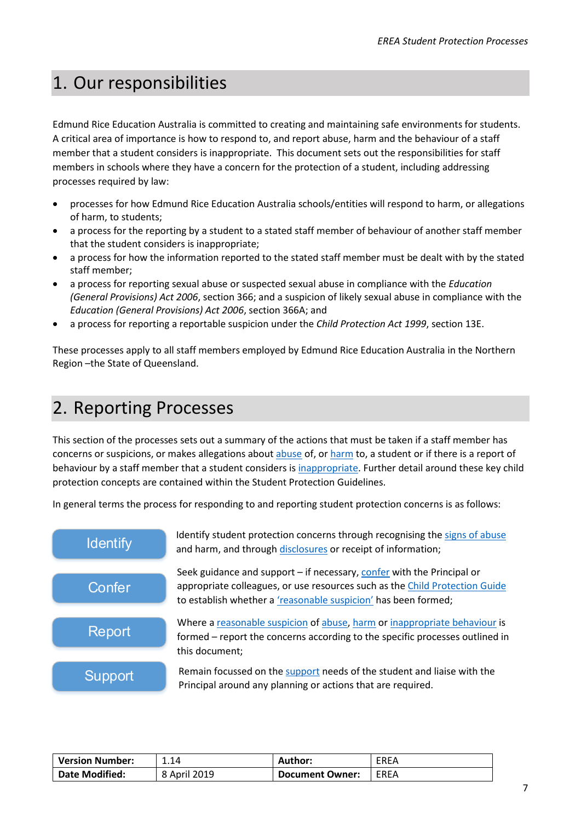# <span id="page-6-0"></span>1. Our responsibilities

Edmund Rice Education Australia is committed to creating and maintaining safe environments for students. A critical area of importance is how to respond to, and report abuse, harm and the behaviour of a staff member that a student considers is inappropriate. This document sets out the responsibilities for staff members in schools where they have a concern for the protection of a student, including addressing processes required by law:

- processes for how Edmund Rice Education Australia schools/entities will respond to harm, or allegations of harm, to students;
- a process for the reporting by a student to a stated staff member of behaviour of another staff member that the student considers is inappropriate;
- a process for how the information reported to the stated staff member must be dealt with by the stated staff member;
- a process for reporting sexual abuse or suspected sexual abuse in compliance with the *Education (General Provisions) Act 2006*, section 366; and a suspicion of likely sexual abuse in compliance with the *Education (General Provisions) Act 2006*, section 366A; and
- a process for reporting a reportable suspicion under the *Child Protection Act 1999*, section 13E.

These processes apply to all staff members employed by Edmund Rice Education Australia in the Northern Region –the State of Queensland.

# <span id="page-6-1"></span>2. Reporting Processes

This section of the processes sets out a summary of the actions that must be taken if a staff member has concerns or suspicions, or makes allegations about [abuse](#page-38-0) of, o[r harm](#page-42-0) to, a student or if there is a report of behaviour by a staff member that a student considers i[s inappropriate.](#page-50-0) Further detail around these key child protection concepts are contained within the Student Protection Guidelines.

In general terms the process for responding to and reporting student protection concerns is as follows:



| <b>Version Number:</b> | 1.14         | Author:                | <b>EREA</b> |
|------------------------|--------------|------------------------|-------------|
| <b>Date Modified:</b>  | 8 April 2019 | <b>Document Owner:</b> | <b>EREA</b> |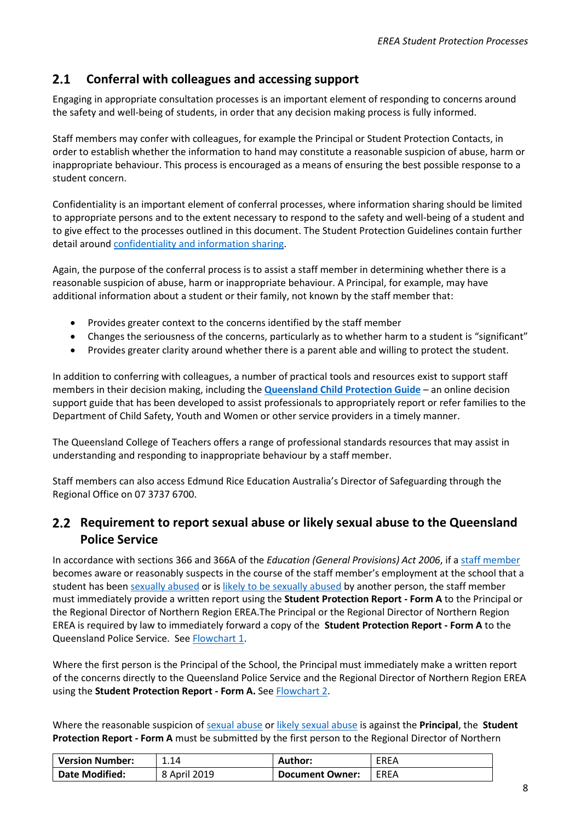#### <span id="page-7-2"></span><span id="page-7-0"></span> $2.1$  **Conferral with colleagues and accessing support**

Engaging in appropriate consultation processes is an important element of responding to concerns around the safety and well-being of students, in order that any decision making process is fully informed.

Staff members may confer with colleagues, for example the Principal or Student Protection Contacts, in order to establish whether the information to hand may constitute a reasonable suspicion of abuse, harm or inappropriate behaviour. This process is encouraged as a means of ensuring the best possible response to a student concern.

Confidentiality is an important element of conferral processes, where information sharing should be limited to appropriate persons and to the extent necessary to respond to the safety and well-being of a student and to give effect to the processes outlined in this document. The Student Protection Guidelines contain further detail aroun[d confidentiality and information sharing.](#page-48-0)

Again, the purpose of the conferral process is to assist a staff member in determining whether there is a reasonable suspicion of abuse, harm or inappropriate behaviour. A Principal, for example, may have additional information about a student or their family, not known by the staff member that:

- Provides greater context to the concerns identified by the staff member
- Changes the seriousness of the concerns, particularly as to whether harm to a student is "significant"
- Provides greater clarity around whether there is a parent able and willing to protect the student.

In addition to conferring with colleagues, a number of practical tools and resources exist to support staff members in their decision making, including the **[Queensland Child Protection Guide](https://www.communities.qld.gov.au/childsafety/partners/our-government-partners/queensland-child-protection-guide)** – an online decision support guide that has been developed to assist professionals to appropriately report or refer families to the Department of Child Safety, Youth and Women or other service providers in a timely manner.

The Queensland College of Teachers offers a range of professional standards resources that may assist in understanding and responding to inappropriate behaviour by a staff member.

Staff members can also access Edmund Rice Education Australia's Director of Safeguarding through the Regional Office on 07 3737 6700.

#### <span id="page-7-1"></span>**Requirement to report sexual abuse or likely sexual abuse to the Queensland Police Service**

In accordance with sections 366 and 366A of the *Education (General Provisions) Act 2006*, if [a staff member](#page-27-0) becomes aware or reasonably suspects in the course of the staff member's employment at the school that a student has been [sexually abused](#page-38-1) or is [likely to be sexually abused](#page-38-2) by another person, the staff member must immediately provide a written report using the **Student Protection Report - Form A** to the Principal or the Regional Director of Northern Region EREA.The Principal or the Regional Director of Northern Region EREA is required by law to immediately forward a copy of the **Student Protection Report - Form A** to the Queensland Police Service. See [Flowchart 1.](#page-31-0)

Where the first person is the Principal of the School, the Principal must immediately make a written report of the concerns directly to the Queensland Police Service and the Regional Director of Northern Region EREA using the **Student Protection Report - Form A.** See [Flowchart 2.](#page-32-0)

Where the reasonable suspicion of [sexual abuse](#page-38-1) o[r likely sexual abuse](#page-38-2) is against the **Principal**, the **Student Protection Report - Form A** must be submitted by the first person to the Regional Director of Northern

| <b>Version Number:</b> | 1.14         | Author:         | <b>EREA</b> |
|------------------------|--------------|-----------------|-------------|
| <b>Date Modified:</b>  | 8 April 2019 | Document Owner: | EREA        |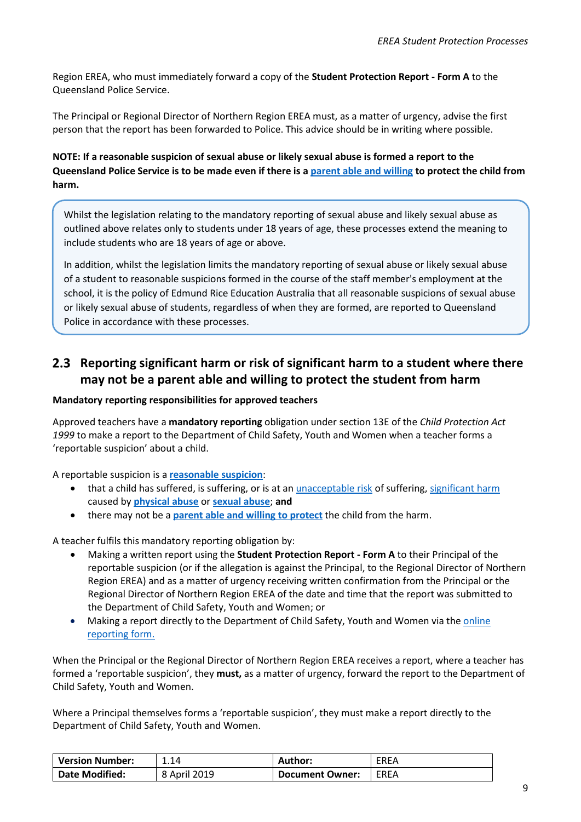Region EREA, who must immediately forward a copy of the **Student Protection Report - Form A** to the Queensland Police Service.

The Principal or Regional Director of Northern Region EREA must, as a matter of urgency, advise the first person that the report has been forwarded to Police. This advice should be in writing where possible.

**NOTE: If a reasonable suspicion of sexual abuse or likely sexual abuse is formed a report to the Queensland Police Service is to be made even if there is [a parent able and willing](#page-47-0) to protect the child from harm.**

Whilst the legislation relating to the mandatory reporting of sexual abuse and likely sexual abuse as outlined above relates only to students under 18 years of age, these processes extend the meaning to include students who are 18 years of age or above.

In addition, whilst the legislation limits the mandatory reporting of sexual abuse or likely sexual abuse of a student to reasonable suspicions formed in the course of the staff member's employment at the school, it is the policy of Edmund Rice Education Australia that all reasonable suspicions of sexual abuse or likely sexual abuse of students, regardless of when they are formed, are reported to Queensland Police in accordance with these processes.

#### <span id="page-8-0"></span>**Reporting significant harm or risk of significant harm to a student where there may not be a parent able and willing to protect the student from harm**

#### **Mandatory reporting responsibilities for approved teachers**

Approved teachers have a **mandatory reporting** obligation under section 13E of the *Child Protection Act 1999* to make a report to the Department of Child Safety, Youth and Women when a teacher forms a 'reportable suspicion' about a child.

A reportable suspicion is a **[reasonable suspicion](#page-45-0)**:

- that a child has suffered, is suffering, or is at an [unacceptable risk](#page-43-1) of suffering[, significant harm](#page-42-0) caused by **[physical abuse](#page-41-0)** or **[sexual abuse](#page-38-1)**; **and**
- there may not be a **[parent able and willing to protect](#page-47-0)** the child from the harm.

A teacher fulfils this mandatory reporting obligation by:

- Making a written report using the **Student Protection Report - Form A** to their Principal of the reportable suspicion (or if the allegation is against the Principal, to the Regional Director of Northern Region EREA) and as a matter of urgency receiving written confirmation from the Principal or the Regional Director of Northern Region EREA of the date and time that the report was submitted to the Department of Child Safety, Youth and Women; or
- Making a report directly to the Department of Child Safety, Youth and Women via the online [reporting form.](https://secure.communities.qld.gov.au/cbir/home/ChildSafety)

When the Principal or the Regional Director of Northern Region EREA receives a report, where a teacher has formed a 'reportable suspicion', they **must,** as a matter of urgency, forward the report to the Department of Child Safety, Youth and Women.

Where a Principal themselves forms a 'reportable suspicion', they must make a report directly to the Department of Child Safety, Youth and Women.

| <b>Version Number:</b> | 1.14         | Author:         | <b>EREA</b> |
|------------------------|--------------|-----------------|-------------|
| <b>Date Modified:</b>  | 8 April 2019 | Document Owner: | EREA        |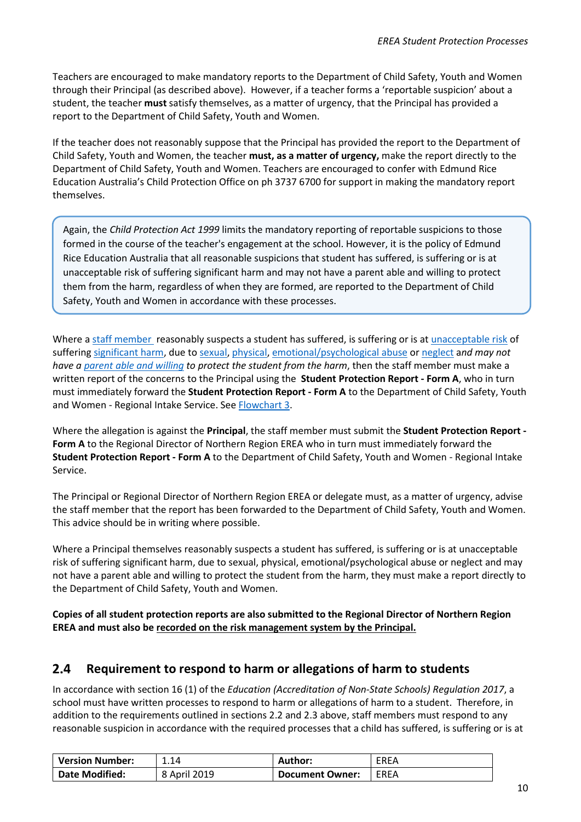Teachers are encouraged to make mandatory reports to the Department of Child Safety, Youth and Women through their Principal (as described above). However, if a teacher forms a 'reportable suspicion' about a student, the teacher **must** satisfy themselves, as a matter of urgency, that the Principal has provided a report to the Department of Child Safety, Youth and Women.

If the teacher does not reasonably suppose that the Principal has provided the report to the Department of Child Safety, Youth and Women, the teacher **must, as a matter of urgency,** make the report directly to the Department of Child Safety, Youth and Women. Teachers are encouraged to confer with Edmund Rice Education Australia's Child Protection Office on ph 3737 6700 for support in making the mandatory report themselves.

Again, the *Child Protection Act 1999* limits the mandatory reporting of reportable suspicions to those formed in the course of the teacher's engagement at the school. However, it is the policy of Edmund Rice Education Australia that all reasonable suspicions that student has suffered, is suffering or is at unacceptable risk of suffering significant harm and may not have a parent able and willing to protect them from the harm, regardless of when they are formed, are reported to the Department of Child Safety, Youth and Women in accordance with these processes.

Where [a staff member](#page-27-0) reasonably suspects a student has suffered, is suffering or is at [unacceptable risk](#page-43-1) of suffering [significant harm,](#page-42-0) due t[o sexual,](#page-38-1) [physical,](#page-41-0) [emotional/psychological](#page-41-1) abuse or [neglect](#page-42-1) a*nd may not have a [parent able and willing](#page-47-0) to protect the student from the harm*, then the staff member must make a written report of the concerns to the Principal using the **Student Protection Report - Form A**, who in turn must immediately forward the **Student Protection Report - Form A** to the Department of Child Safety, Youth and Women - Regional Intake Service. Se[e Flowchart 3.](#page-33-0)

Where the allegation is against the **Principal**, the staff member must submit the **Student Protection Report - Form A** to the Regional Director of Northern Region EREA who in turn must immediately forward the **Student Protection Report - Form A** to the Department of Child Safety, Youth and Women - Regional Intake Service.

The Principal or Regional Director of Northern Region EREA or delegate must, as a matter of urgency, advise the staff member that the report has been forwarded to the Department of Child Safety, Youth and Women. This advice should be in writing where possible.

Where a Principal themselves reasonably suspects a student has suffered, is suffering or is at unacceptable risk of suffering significant harm, due to sexual, physical, emotional/psychological abuse or neglect and may not have a parent able and willing to protect the student from the harm, they must make a report directly to the Department of Child Safety, Youth and Women.

**Copies of all student protection reports are also submitted to the Regional Director of Northern Region EREA and must also be recorded on the risk management system by the Principal.**

#### <span id="page-9-0"></span> $2.4$ **Requirement to respond to harm or allegations of harm to students**

In accordance with section 16 (1) of the *Education (Accreditation of Non-State Schools) Regulation 2017*, a school must have written processes to respond to harm or allegations of harm to a student. Therefore, in addition to the requirements outlined in sections 2.2 and 2.3 above, staff members must respond to any reasonable suspicion in accordance with the required processes that a child has suffered, is suffering or is at

| <b>Version Number:</b> | 1.14         | Author:                | <b>EREA</b> |
|------------------------|--------------|------------------------|-------------|
| <b>Date Modified:</b>  | 8 April 2019 | <b>Document Owner:</b> | EREA        |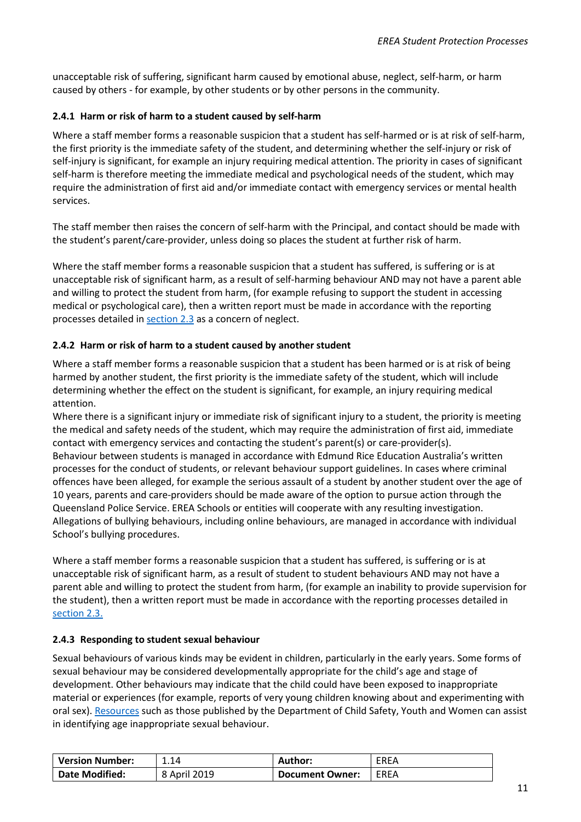unacceptable risk of suffering, significant harm caused by emotional abuse, neglect, self-harm, or harm caused by others - for example, by other students or by other persons in the community.

#### <span id="page-10-0"></span>**2.4.1 Harm or risk of harm to a student caused by self-harm**

Where a staff member forms a reasonable suspicion that a student has self-harmed or is at risk of self-harm, the first priority is the immediate safety of the student, and determining whether the self-injury or risk of self-injury is significant, for example an injury requiring medical attention. The priority in cases of significant self-harm is therefore meeting the immediate medical and psychological needs of the student, which may require the administration of first aid and/or immediate contact with emergency services or mental health services.

The staff member then raises the concern of self-harm with the Principal, and contact should be made with the student's parent/care-provider, unless doing so places the student at further risk of harm.

Where the staff member forms a reasonable suspicion that a student has suffered, is suffering or is at unacceptable risk of significant harm, as a result of self-harming behaviour AND may not have a parent able and willing to protect the student from harm, (for example refusing to support the student in accessing medical or psychological care), then a written report must be made in accordance with the reporting processes detailed in [section 2.3](#page-8-0) as a concern of neglect.

#### <span id="page-10-1"></span>**2.4.2 Harm or risk of harm to a student caused by another student**

Where a staff member forms a reasonable suspicion that a student has been harmed or is at risk of being harmed by another student, the first priority is the immediate safety of the student, which will include determining whether the effect on the student is significant, for example, an injury requiring medical attention.

Where there is a significant injury or immediate risk of significant injury to a student, the priority is meeting the medical and safety needs of the student, which may require the administration of first aid, immediate contact with emergency services and contacting the student's parent(s) or care-provider(s). Behaviour between students is managed in accordance with Edmund Rice Education Australia's written processes for the conduct of students, or relevant behaviour support guidelines. In cases where criminal offences have been alleged, for example the serious assault of a student by another student over the age of 10 years, parents and care-providers should be made aware of the option to pursue action through the Queensland Police Service. EREA Schools or entities will cooperate with any resulting investigation. Allegations of bullying behaviours, including online behaviours, are managed in accordance with individual School's bullying procedures.

Where a staff member forms a reasonable suspicion that a student has suffered, is suffering or is at unacceptable risk of significant harm, as a result of student to student behaviours AND may not have a parent able and willing to protect the student from harm, (for example an inability to provide supervision for the student), then a written report must be made in accordance with the reporting processes detailed in [section 2.3.](#page-8-0)

#### <span id="page-10-2"></span>**2.4.3 Responding to student sexual behaviour**

Sexual behaviours of various kinds may be evident in children, particularly in the early years. Some forms of sexual behaviour may be considered developmentally appropriate for the child's age and stage of development. Other behaviours may indicate that the child could have been exposed to inappropriate material or experiences (for example, reports of very young children knowing about and experimenting with oral sex). [Resources](https://www.communities.qld.gov.au/resources/childsafety/foster-care/training/documents/ppt-sexual-behaviours.pdf) such as those published by the Department of Child Safety, Youth and Women can assist in identifying age inappropriate sexual behaviour.

| <b>Version Number:</b> | 1.14         | Author:                | EREA        |
|------------------------|--------------|------------------------|-------------|
| <b>Date Modified:</b>  | 8 April 2019 | <b>Document Owner:</b> | <b>EREA</b> |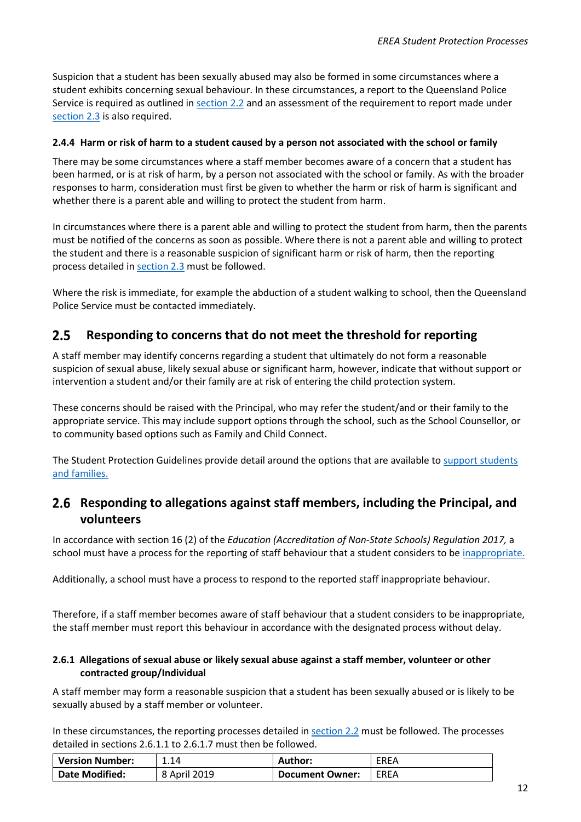Suspicion that a student has been sexually abused may also be formed in some circumstances where a student exhibits concerning sexual behaviour. In these circumstances, a report to the Queensland Police Service is required as outlined in [section](#page-7-1) 2.2 and an assessment of the requirement to report made under [section 2.3](#page-8-0) is also required.

#### <span id="page-11-0"></span>**2.4.4 Harm or risk of harm to a student caused by a person not associated with the school or family**

There may be some circumstances where a staff member becomes aware of a concern that a student has been harmed, or is at risk of harm, by a person not associated with the school or family. As with the broader responses to harm, consideration must first be given to whether the harm or risk of harm is significant and whether there is a parent able and willing to protect the student from harm.

In circumstances where there is a parent able and willing to protect the student from harm, then the parents must be notified of the concerns as soon as possible. Where there is not a parent able and willing to protect the student and there is a reasonable suspicion of significant harm or risk of harm, then the reporting process detailed i[n section 2.3](#page-8-0) must be followed.

Where the risk is immediate, for example the abduction of a student walking to school, then the Queensland Police Service must be contacted immediately.

#### <span id="page-11-1"></span> $2.5$  **Responding to concerns that do not meet the threshold for reporting**

A staff member may identify concerns regarding a student that ultimately do not form a reasonable suspicion of sexual abuse, likely sexual abuse or significant harm, however, indicate that without support or intervention a student and/or their family are at risk of entering the child protection system.

These concerns should be raised with the Principal, who may refer the student/and or their family to the appropriate service. This may include support options through the school, such as the School Counsellor, or to community based options such as Family and Child Connect.

The Student Protection Guidelines provide detail around the options that are available t[o support students](#page-49-0)  [and families.](#page-49-0)

#### <span id="page-11-2"></span>**Responding to allegations against staff members, including the Principal, and volunteers**

In accordance with section 16 (2) of the *Education (Accreditation of Non-State Schools) Regulation 2017,* a school must have a process for the reporting of staff behaviour that a student considers to be [inappropriate.](#page-50-0) 

Additionally, a school must have a process to respond to the reported staff inappropriate behaviour.

Therefore, if a staff member becomes aware of staff behaviour that a student considers to be inappropriate, the staff member must report this behaviour in accordance with the designated process without delay.

#### <span id="page-11-3"></span>**2.6.1 Allegations of sexual abuse or likely sexual abuse against a staff member, volunteer or other contracted group/Individual**

A staff member may form a reasonable suspicion that a student has been sexually abused or is likely to be sexually abused by a staff member or volunteer.

In these circumstances, the reporting processes detailed in [section 2.2](#page-7-1) must be followed. The processes detailed in sections 2.6.1.1 to 2.6.1.7 must then be followed.

| <b>Version Number:</b> | 1.14         | Author:         | <b>EREA</b> |
|------------------------|--------------|-----------------|-------------|
| <b>Date Modified:</b>  | 8 April 2019 | Document Owner: | EREA        |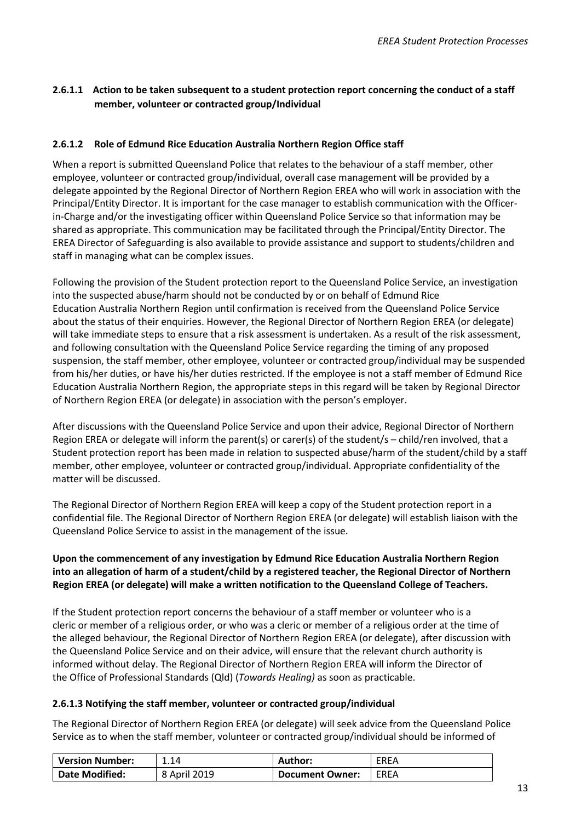#### <span id="page-12-0"></span>**2.6.1.1 Action to be taken subsequent to a student protection report concerning the conduct of a staff member, volunteer or contracted group/Individual**

#### <span id="page-12-1"></span>**2.6.1.2 Role of Edmund Rice Education Australia Northern Region Office staff**

When a report is submitted Queensland Police that relates to the behaviour of a staff member, other employee, volunteer or contracted group/individual, overall case management will be provided by a delegate appointed by the Regional Director of Northern Region EREA who will work in association with the Principal/Entity Director. It is important for the case manager to establish communication with the Officerin-Charge and/or the investigating officer within Queensland Police Service so that information may be shared as appropriate. This communication may be facilitated through the Principal/Entity Director. The EREA Director of Safeguarding is also available to provide assistance and support to students/children and staff in managing what can be complex issues.

Following the provision of the Student protection report to the Queensland Police Service, an investigation into the suspected abuse/harm should not be conducted by or on behalf of Edmund Rice Education Australia Northern Region until confirmation is received from the Queensland Police Service about the status of their enquiries. However, the Regional Director of Northern Region EREA (or delegate) will take immediate steps to ensure that a risk assessment is undertaken. As a result of the risk assessment, and following consultation with the Queensland Police Service regarding the timing of any proposed suspension, the staff member, other employee, volunteer or contracted group/individual may be suspended from his/her duties, or have his/her duties restricted. If the employee is not a staff member of Edmund Rice Education Australia Northern Region, the appropriate steps in this regard will be taken by Regional Director of Northern Region EREA (or delegate) in association with the person's employer.

After discussions with the Queensland Police Service and upon their advice, Regional Director of Northern Region EREA or delegate will inform the parent(s) or carer(s) of the student/s – child/ren involved, that a Student protection report has been made in relation to suspected abuse/harm of the student/child by a staff member, other employee, volunteer or contracted group/individual. Appropriate confidentiality of the matter will be discussed.

The Regional Director of Northern Region EREA will keep a copy of the Student protection report in a confidential file. The Regional Director of Northern Region EREA (or delegate) will establish liaison with the Queensland Police Service to assist in the management of the issue.

#### **Upon the commencement of any investigation by Edmund Rice Education Australia Northern Region into an allegation of harm of a student/child by a registered teacher, the Regional Director of Northern Region EREA (or delegate) will make a written notification to the Queensland College of Teachers.**

If the Student protection report concerns the behaviour of a staff member or volunteer who is a cleric or member of a religious order, or who was a cleric or member of a religious order at the time of the alleged behaviour, the Regional Director of Northern Region EREA (or delegate), after discussion with the Queensland Police Service and on their advice, will ensure that the relevant church authority is informed without delay. The Regional Director of Northern Region EREA will inform the Director of the Office of Professional Standards (Qld) (*Towards Healing)* as soon as practicable.

#### <span id="page-12-2"></span>**2.6.1.3 Notifying the staff member, volunteer or contracted group/individual**

The Regional Director of Northern Region EREA (or delegate) will seek advice from the Queensland Police Service as to when the staff member, volunteer or contracted group/individual should be informed of

| <b>Version Number:</b> | 1.14         | Author:                | <b>EREA</b> |
|------------------------|--------------|------------------------|-------------|
| <b>Date Modified:</b>  | 8 April 2019 | <b>Document Owner:</b> | EREA        |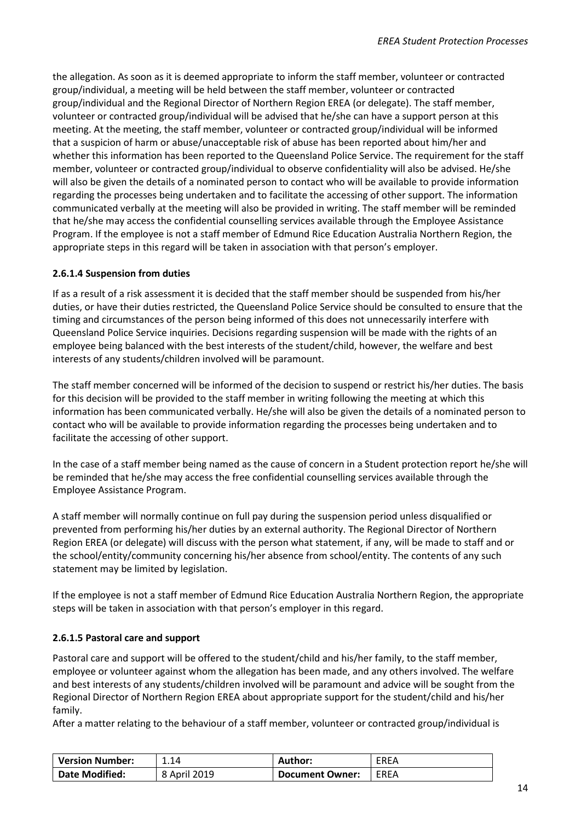the allegation. As soon as it is deemed appropriate to inform the staff member, volunteer or contracted group/individual, a meeting will be held between the staff member, volunteer or contracted group/individual and the Regional Director of Northern Region EREA (or delegate). The staff member, volunteer or contracted group/individual will be advised that he/she can have a support person at this meeting. At the meeting, the staff member, volunteer or contracted group/individual will be informed that a suspicion of harm or abuse/unacceptable risk of abuse has been reported about him/her and whether this information has been reported to the Queensland Police Service. The requirement for the staff member, volunteer or contracted group/individual to observe confidentiality will also be advised. He/she will also be given the details of a nominated person to contact who will be available to provide information regarding the processes being undertaken and to facilitate the accessing of other support. The information communicated verbally at the meeting will also be provided in writing. The staff member will be reminded that he/she may access the confidential counselling services available through the Employee Assistance Program. If the employee is not a staff member of Edmund Rice Education Australia Northern Region, the appropriate steps in this regard will be taken in association with that person's employer.

#### <span id="page-13-0"></span>**2.6.1.4 Suspension from duties**

If as a result of a risk assessment it is decided that the staff member should be suspended from his/her duties, or have their duties restricted, the Queensland Police Service should be consulted to ensure that the timing and circumstances of the person being informed of this does not unnecessarily interfere with Queensland Police Service inquiries. Decisions regarding suspension will be made with the rights of an employee being balanced with the best interests of the student/child, however, the welfare and best interests of any students/children involved will be paramount.

The staff member concerned will be informed of the decision to suspend or restrict his/her duties. The basis for this decision will be provided to the staff member in writing following the meeting at which this information has been communicated verbally. He/she will also be given the details of a nominated person to contact who will be available to provide information regarding the processes being undertaken and to facilitate the accessing of other support.

In the case of a staff member being named as the cause of concern in a Student protection report he/she will be reminded that he/she may access the free confidential counselling services available through the Employee Assistance Program.

A staff member will normally continue on full pay during the suspension period unless disqualified or prevented from performing his/her duties by an external authority. The Regional Director of Northern Region EREA (or delegate) will discuss with the person what statement, if any, will be made to staff and or the school/entity/community concerning his/her absence from school/entity. The contents of any such statement may be limited by legislation.

If the employee is not a staff member of Edmund Rice Education Australia Northern Region, the appropriate steps will be taken in association with that person's employer in this regard.

#### <span id="page-13-1"></span>**2.6.1.5 Pastoral care and support**

Pastoral care and support will be offered to the student/child and his/her family, to the staff member, employee or volunteer against whom the allegation has been made, and any others involved. The welfare and best interests of any students/children involved will be paramount and advice will be sought from the Regional Director of Northern Region EREA about appropriate support for the student/child and his/her family.

After a matter relating to the behaviour of a staff member, volunteer or contracted group/individual is

| <b>Version Number:</b> | 1.14         | <b>Author:</b>  | EREA |
|------------------------|--------------|-----------------|------|
| Date Modified:         | 8 April 2019 | Document Owner: | EREA |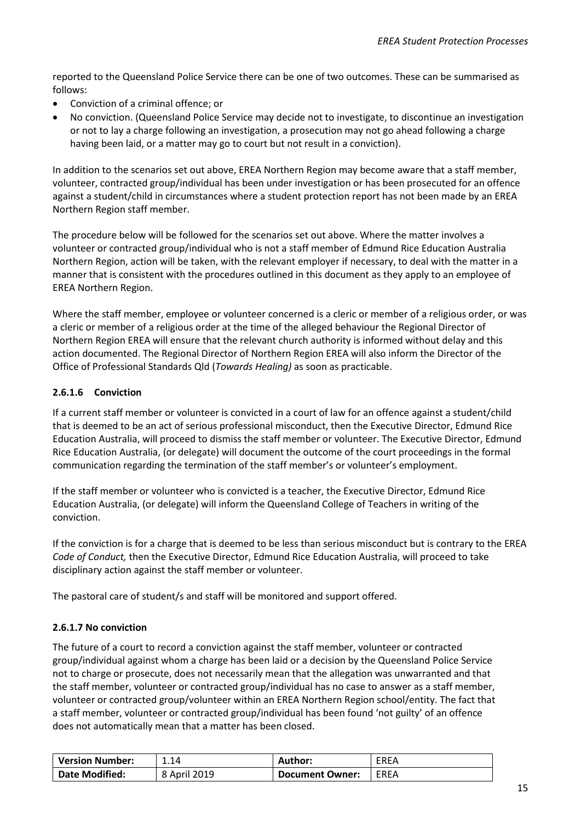reported to the Queensland Police Service there can be one of two outcomes. These can be summarised as follows:

- Conviction of a criminal offence; or
- No conviction. (Queensland Police Service may decide not to investigate, to discontinue an investigation or not to lay a charge following an investigation, a prosecution may not go ahead following a charge having been laid, or a matter may go to court but not result in a conviction).

In addition to the scenarios set out above, EREA Northern Region may become aware that a staff member, volunteer, contracted group/individual has been under investigation or has been prosecuted for an offence against a student/child in circumstances where a student protection report has not been made by an EREA Northern Region staff member.

The procedure below will be followed for the scenarios set out above. Where the matter involves a volunteer or contracted group/individual who is not a staff member of Edmund Rice Education Australia Northern Region, action will be taken, with the relevant employer if necessary, to deal with the matter in a manner that is consistent with the procedures outlined in this document as they apply to an employee of EREA Northern Region.

Where the staff member, employee or volunteer concerned is a cleric or member of a religious order, or was a cleric or member of a religious order at the time of the alleged behaviour the Regional Director of Northern Region EREA will ensure that the relevant church authority is informed without delay and this action documented. The Regional Director of Northern Region EREA will also inform the Director of the Office of Professional Standards Qld (*Towards Healing)* as soon as practicable.

#### <span id="page-14-0"></span>**2.6.1.6 Conviction**

If a current staff member or volunteer is convicted in a court of law for an offence against a student/child that is deemed to be an act of serious professional misconduct, then the Executive Director, Edmund Rice Education Australia, will proceed to dismiss the staff member or volunteer. The Executive Director, Edmund Rice Education Australia, (or delegate) will document the outcome of the court proceedings in the formal communication regarding the termination of the staff member's or volunteer's employment.

If the staff member or volunteer who is convicted is a teacher, the Executive Director, Edmund Rice Education Australia, (or delegate) will inform the Queensland College of Teachers in writing of the conviction.

If the conviction is for a charge that is deemed to be less than serious misconduct but is contrary to the EREA *Code of Conduct,* then the Executive Director, Edmund Rice Education Australia, will proceed to take disciplinary action against the staff member or volunteer.

The pastoral care of student/s and staff will be monitored and support offered.

#### <span id="page-14-1"></span>**2.6.1.7 No conviction**

The future of a court to record a conviction against the staff member, volunteer or contracted group/individual against whom a charge has been laid or a decision by the Queensland Police Service not to charge or prosecute, does not necessarily mean that the allegation was unwarranted and that the staff member, volunteer or contracted group/individual has no case to answer as a staff member, volunteer or contracted group/volunteer within an EREA Northern Region school/entity. The fact that a staff member, volunteer or contracted group/individual has been found 'not guilty' of an offence does not automatically mean that a matter has been closed.

| <b>Version Number:</b> | 1.14         | Author:                | <b>EREA</b> |
|------------------------|--------------|------------------------|-------------|
| <b>Date Modified:</b>  | 8 April 2019 | <b>Document Owner:</b> | EREA        |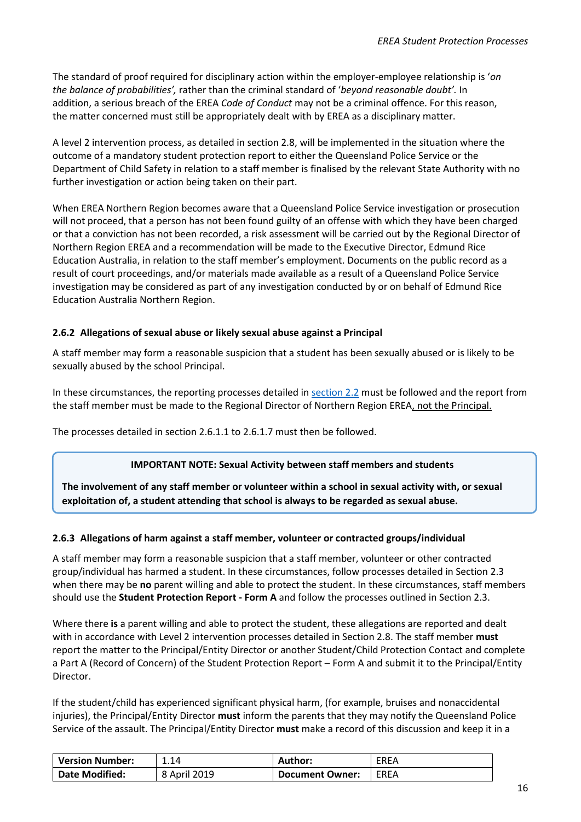The standard of proof required for disciplinary action within the employer-employee relationship is '*on the balance of probabilities',* rather than the criminal standard of '*beyond reasonable doubt'.* In addition, a serious breach of the EREA *Code of Conduct* may not be a criminal offence. For this reason, the matter concerned must still be appropriately dealt with by EREA as a disciplinary matter.

A level 2 intervention process, as detailed in section 2.8, will be implemented in the situation where the outcome of a mandatory student protection report to either the Queensland Police Service or the Department of Child Safety in relation to a staff member is finalised by the relevant State Authority with no further investigation or action being taken on their part.

When EREA Northern Region becomes aware that a Queensland Police Service investigation or prosecution will not proceed, that a person has not been found guilty of an offense with which they have been charged or that a conviction has not been recorded, a risk assessment will be carried out by the Regional Director of Northern Region EREA and a recommendation will be made to the Executive Director, Edmund Rice Education Australia, in relation to the staff member's employment. Documents on the public record as a result of court proceedings, and/or materials made available as a result of a Queensland Police Service investigation may be considered as part of any investigation conducted by or on behalf of Edmund Rice Education Australia Northern Region.

#### <span id="page-15-0"></span>**2.6.2 Allegations of sexual abuse or likely sexual abuse against a Principal**

A staff member may form a reasonable suspicion that a student has been sexually abused or is likely to be sexually abused by the school Principal.

In these circumstances, the reporting processes detailed in [section 2.2](#page-7-1) must be followed and the report from the staff member must be made to the Regional Director of Northern Region EREA, not the Principal.

The processes detailed in section 2.6.1.1 to 2.6.1.7 must then be followed.

#### **IMPORTANT NOTE: Sexual Activity between staff members and students**

**The involvement of any staff member or volunteer within a school in sexual activity with, or sexual exploitation of, a student attending that school is always to be regarded as sexual abuse.**

#### <span id="page-15-1"></span>**2.6.3 Allegations of harm against a staff member, volunteer or contracted groups/individual**

A staff member may form a reasonable suspicion that a staff member, volunteer or other contracted group/individual has harmed a student. In these circumstances, follow processes detailed in Section 2.3 when there may be **no** parent willing and able to protect the student. In these circumstances, staff members should use the **Student Protection Report - Form A** and follow the processes outlined in Section 2.3.

Where there **is** a parent willing and able to protect the student, these allegations are reported and dealt with in accordance with Level 2 intervention processes detailed in Section 2.8. The staff member **must**  report the matter to the Principal/Entity Director or another Student/Child Protection Contact and complete a Part A (Record of Concern) of the Student Protection Report – Form A and submit it to the Principal/Entity Director.

If the student/child has experienced significant physical harm, (for example, bruises and nonaccidental injuries), the Principal/Entity Director **must** inform the parents that they may notify the Queensland Police Service of the assault. The Principal/Entity Director **must** make a record of this discussion and keep it in a

| <b>Version Number:</b> | 1.14         | <b>Author:</b>         | EREA |
|------------------------|--------------|------------------------|------|
| Date Modified:         | 8 April 2019 | <b>Document Owner:</b> | EREA |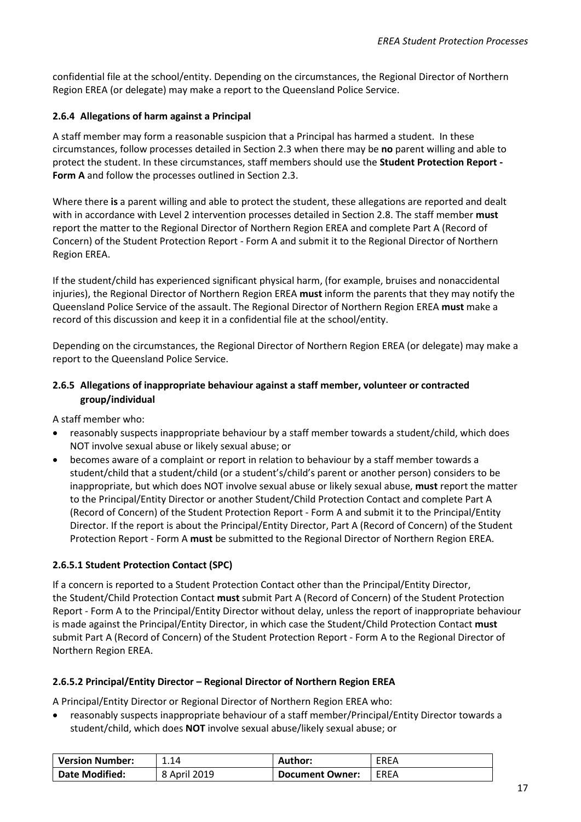confidential file at the school/entity. Depending on the circumstances, the Regional Director of Northern Region EREA (or delegate) may make a report to the Queensland Police Service.

#### <span id="page-16-0"></span>**2.6.4 Allegations of harm against a Principal**

A staff member may form a reasonable suspicion that a Principal has harmed a student. In these circumstances, follow processes detailed in Section 2.3 when there may be **no** parent willing and able to protect the student. In these circumstances, staff members should use the **Student Protection Report - Form A** and follow the processes outlined in Section 2.3.

Where there **is** a parent willing and able to protect the student, these allegations are reported and dealt with in accordance with Level 2 intervention processes detailed in Section 2.8. The staff member **must**  report the matter to the Regional Director of Northern Region EREA and complete Part A (Record of Concern) of the Student Protection Report - Form A and submit it to the Regional Director of Northern Region EREA.

If the student/child has experienced significant physical harm, (for example, bruises and nonaccidental injuries), the Regional Director of Northern Region EREA **must** inform the parents that they may notify the Queensland Police Service of the assault. The Regional Director of Northern Region EREA **must** make a record of this discussion and keep it in a confidential file at the school/entity.

Depending on the circumstances, the Regional Director of Northern Region EREA (or delegate) may make a report to the Queensland Police Service.

#### <span id="page-16-4"></span><span id="page-16-1"></span>**2.6.5 Allegations of inappropriate behaviour against a staff member, volunteer or contracted group/individual**

A staff member who:

- reasonably suspects inappropriate behaviour by a staff member towards a student/child, which does NOT involve sexual abuse or likely sexual abuse; or
- becomes aware of a complaint or report in relation to behaviour by a staff member towards a student/child that a student/child (or a student's/child's parent or another person) considers to be inappropriate, but which does NOT involve sexual abuse or likely sexual abuse, **must** report the matter to the Principal/Entity Director or another Student/Child Protection Contact and complete Part A (Record of Concern) of the Student Protection Report - Form A and submit it to the Principal/Entity Director. If the report is about the Principal/Entity Director, Part A (Record of Concern) of the Student Protection Report - Form A **must** be submitted to the Regional Director of Northern Region EREA.

#### <span id="page-16-2"></span>**2.6.5.1 Student Protection Contact (SPC)**

If a concern is reported to a Student Protection Contact other than the Principal/Entity Director, the Student/Child Protection Contact **must** submit Part A (Record of Concern) of the Student Protection Report - Form A to the Principal/Entity Director without delay, unless the report of inappropriate behaviour is made against the Principal/Entity Director, in which case the Student/Child Protection Contact **must**  submit Part A (Record of Concern) of the Student Protection Report - Form A to the Regional Director of Northern Region EREA.

#### <span id="page-16-3"></span>**2.6.5.2 Principal/Entity Director – Regional Director of Northern Region EREA**

A Principal/Entity Director or Regional Director of Northern Region EREA who:

• reasonably suspects inappropriate behaviour of a staff member/Principal/Entity Director towards a student/child, which does **NOT** involve sexual abuse/likely sexual abuse; or

| <b>Version Number:</b> | 1.14         | Author:                | EREA |
|------------------------|--------------|------------------------|------|
| <b>Date Modified:</b>  | 8 April 2019 | <b>Document Owner:</b> | EREA |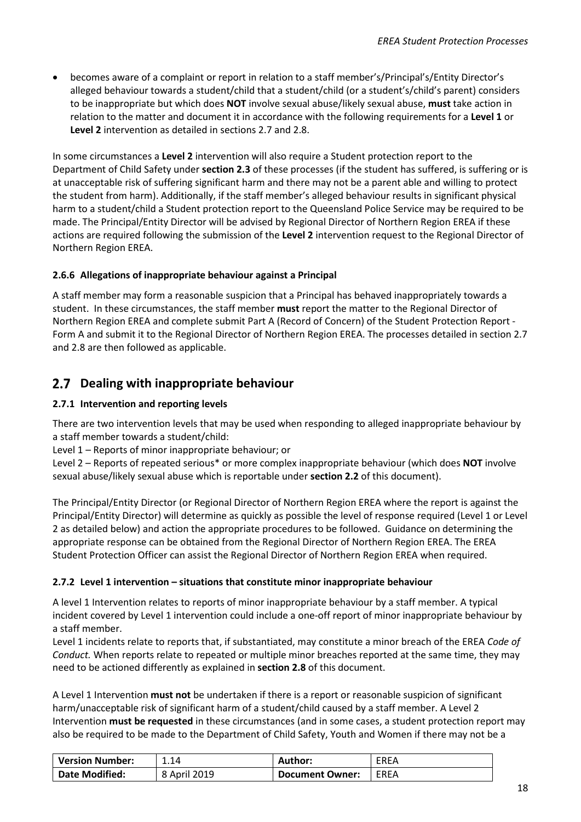• becomes aware of a complaint or report in relation to a staff member's/Principal's/Entity Director's alleged behaviour towards a student/child that a student/child (or a student's/child's parent) considers to be inappropriate but which does **NOT** involve sexual abuse/likely sexual abuse, **must** take action in relation to the matter and document it in accordance with the following requirements for a **Level 1** or **Level 2** intervention as detailed in sections 2.7 and 2.8.

In some circumstances a **Level 2** intervention will also require a Student protection report to the Department of Child Safety under **section 2.3** of these processes (if the student has suffered, is suffering or is at unacceptable risk of suffering significant harm and there may not be a parent able and willing to protect the student from harm). Additionally, if the staff member's alleged behaviour results in significant physical harm to a student/child a Student protection report to the Queensland Police Service may be required to be made. The Principal/Entity Director will be advised by Regional Director of Northern Region EREA if these actions are required following the submission of the **Level 2** intervention request to the Regional Director of Northern Region EREA.

#### <span id="page-17-0"></span>**2.6.6 Allegations of inappropriate behaviour against a Principal**

A staff member may form a reasonable suspicion that a Principal has behaved inappropriately towards a student. In these circumstances, the staff member **must** report the matter to the Regional Director of Northern Region EREA and complete submit Part A (Record of Concern) of the Student Protection Report - Form A and submit it to the Regional Director of Northern Region EREA. The processes detailed in section 2.7 and 2.8 are then followed as applicable.

#### <span id="page-17-1"></span>**Dealing with inappropriate behaviour**

#### <span id="page-17-2"></span>**2.7.1 Intervention and reporting levels**

There are two intervention levels that may be used when responding to alleged inappropriate behaviour by a staff member towards a student/child:

Level 1 – Reports of minor inappropriate behaviour; or

Level 2 – Reports of repeated serious\* or more complex inappropriate behaviour (which does **NOT** involve sexual abuse/likely sexual abuse which is reportable under **section 2.2** of this document).

The Principal/Entity Director (or Regional Director of Northern Region EREA where the report is against the Principal/Entity Director) will determine as quickly as possible the level of response required (Level 1 or Level 2 as detailed below) and action the appropriate procedures to be followed. Guidance on determining the appropriate response can be obtained from the Regional Director of Northern Region EREA. The EREA Student Protection Officer can assist the Regional Director of Northern Region EREA when required.

#### <span id="page-17-3"></span>**2.7.2 Level 1 intervention – situations that constitute minor inappropriate behaviour**

A level 1 Intervention relates to reports of minor inappropriate behaviour by a staff member. A typical incident covered by Level 1 intervention could include a one-off report of minor inappropriate behaviour by a staff member.

Level 1 incidents relate to reports that, if substantiated, may constitute a minor breach of the EREA *Code of Conduct.* When reports relate to repeated or multiple minor breaches reported at the same time, they may need to be actioned differently as explained in **section 2.8** of this document.

A Level 1 Intervention **must not** be undertaken if there is a report or reasonable suspicion of significant harm/unacceptable risk of significant harm of a student/child caused by a staff member. A Level 2 Intervention **must be requested** in these circumstances (and in some cases, a student protection report may also be required to be made to the Department of Child Safety, Youth and Women if there may not be a

| <b>Version Number:</b> | 1.14         | Author:                | <b>EREA</b> |
|------------------------|--------------|------------------------|-------------|
| <b>Date Modified:</b>  | 8 April 2019 | <b>Document Owner:</b> | EREA        |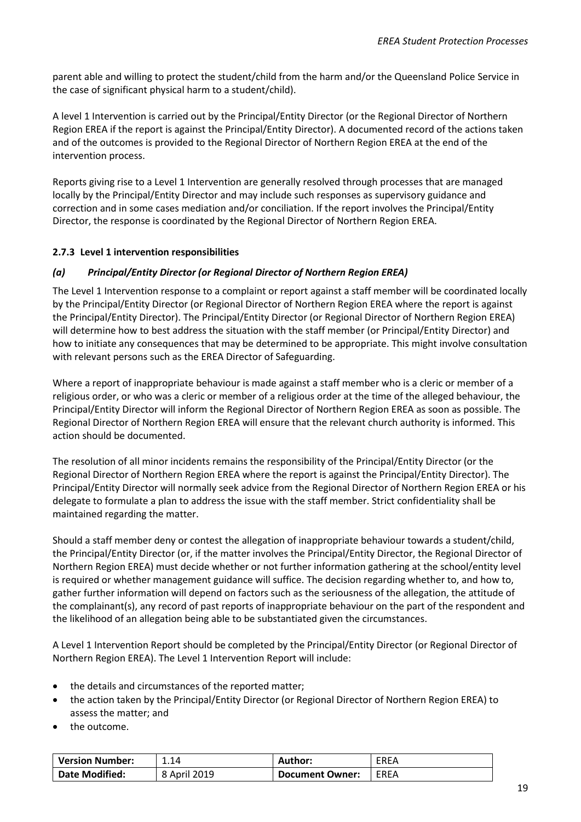parent able and willing to protect the student/child from the harm and/or the Queensland Police Service in the case of significant physical harm to a student/child).

A level 1 Intervention is carried out by the Principal/Entity Director (or the Regional Director of Northern Region EREA if the report is against the Principal/Entity Director). A documented record of the actions taken and of the outcomes is provided to the Regional Director of Northern Region EREA at the end of the intervention process.

Reports giving rise to a Level 1 Intervention are generally resolved through processes that are managed locally by the Principal/Entity Director and may include such responses as supervisory guidance and correction and in some cases mediation and/or conciliation. If the report involves the Principal/Entity Director, the response is coordinated by the Regional Director of Northern Region EREA.

#### <span id="page-18-0"></span>**2.7.3 Level 1 intervention responsibilities**

#### *(a) Principal/Entity Director (or Regional Director of Northern Region EREA)*

The Level 1 Intervention response to a complaint or report against a staff member will be coordinated locally by the Principal/Entity Director (or Regional Director of Northern Region EREA where the report is against the Principal/Entity Director). The Principal/Entity Director (or Regional Director of Northern Region EREA) will determine how to best address the situation with the staff member (or Principal/Entity Director) and how to initiate any consequences that may be determined to be appropriate. This might involve consultation with relevant persons such as the EREA Director of Safeguarding.

Where a report of inappropriate behaviour is made against a staff member who is a cleric or member of a religious order, or who was a cleric or member of a religious order at the time of the alleged behaviour, the Principal/Entity Director will inform the Regional Director of Northern Region EREA as soon as possible. The Regional Director of Northern Region EREA will ensure that the relevant church authority is informed. This action should be documented.

The resolution of all minor incidents remains the responsibility of the Principal/Entity Director (or the Regional Director of Northern Region EREA where the report is against the Principal/Entity Director). The Principal/Entity Director will normally seek advice from the Regional Director of Northern Region EREA or his delegate to formulate a plan to address the issue with the staff member. Strict confidentiality shall be maintained regarding the matter.

Should a staff member deny or contest the allegation of inappropriate behaviour towards a student/child, the Principal/Entity Director (or, if the matter involves the Principal/Entity Director, the Regional Director of Northern Region EREA) must decide whether or not further information gathering at the school/entity level is required or whether management guidance will suffice. The decision regarding whether to, and how to, gather further information will depend on factors such as the seriousness of the allegation, the attitude of the complainant(s), any record of past reports of inappropriate behaviour on the part of the respondent and the likelihood of an allegation being able to be substantiated given the circumstances.

A Level 1 Intervention Report should be completed by the Principal/Entity Director (or Regional Director of Northern Region EREA). The Level 1 Intervention Report will include:

- the details and circumstances of the reported matter;
- the action taken by the Principal/Entity Director (or Regional Director of Northern Region EREA) to assess the matter; and
- the outcome.

| <b>Version Number:</b> | 1.14         | Author:         | EREA |
|------------------------|--------------|-----------------|------|
| <b>Date Modified:</b>  | 8 April 2019 | Document Owner: | EREA |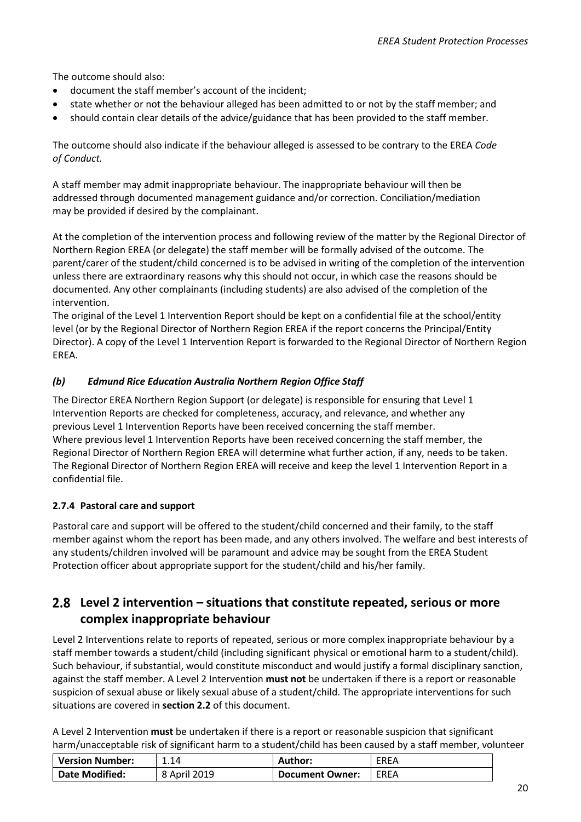The outcome should also:

- document the staff member's account of the incident;
- state whether or not the behaviour alleged has been admitted to or not by the staff member; and
- should contain clear details of the advice/guidance that has been provided to the staff member.

The outcome should also indicate if the behaviour alleged is assessed to be contrary to the EREA *Code of Conduct.*

A staff member may admit inappropriate behaviour. The inappropriate behaviour will then be addressed through documented management guidance and/or correction. Conciliation/mediation may be provided if desired by the complainant.

At the completion of the intervention process and following review of the matter by the Regional Director of Northern Region EREA (or delegate) the staff member will be formally advised of the outcome. The parent/carer of the student/child concerned is to be advised in writing of the completion of the intervention unless there are extraordinary reasons why this should not occur, in which case the reasons should be documented. Any other complainants (including students) are also advised of the completion of the intervention.

The original of the Level 1 Intervention Report should be kept on a confidential file at the school/entity level (or by the Regional Director of Northern Region EREA if the report concerns the Principal/Entity Director). A copy of the Level 1 Intervention Report is forwarded to the Regional Director of Northern Region EREA.

#### *(b) Edmund Rice Education Australia Northern Region Office Staff*

The Director EREA Northern Region Support (or delegate) is responsible for ensuring that Level 1 Intervention Reports are checked for completeness, accuracy, and relevance, and whether any previous Level 1 Intervention Reports have been received concerning the staff member. Where previous level 1 Intervention Reports have been received concerning the staff member, the Regional Director of Northern Region EREA will determine what further action, if any, needs to be taken. The Regional Director of Northern Region EREA will receive and keep the level 1 Intervention Report in a confidential file.

#### <span id="page-19-0"></span>**2.7.4 Pastoral care and support**

Pastoral care and support will be offered to the student/child concerned and their family, to the staff member against whom the report has been made, and any others involved. The welfare and best interests of any students/children involved will be paramount and advice may be sought from the EREA Student Protection officer about appropriate support for the student/child and his/her family.

#### <span id="page-19-1"></span>**Level 2 intervention – situations that constitute repeated, serious or more complex inappropriate behaviour**

Level 2 Interventions relate to reports of repeated, serious or more complex inappropriate behaviour by a staff member towards a student/child (including significant physical or emotional harm to a student/child). Such behaviour, if substantial, would constitute misconduct and would justify a formal disciplinary sanction, against the staff member. A Level 2 Intervention **must not** be undertaken if there is a report or reasonable suspicion of sexual abuse or likely sexual abuse of a student/child. The appropriate interventions for such situations are covered in **section 2.2** of this document.

A Level 2 Intervention **must** be undertaken if there is a report or reasonable suspicion that significant harm/unacceptable risk of significant harm to a student/child has been caused by a staff member, volunteer

| <b>Version Number:</b> | 1.14         | Author:         | EREA        |
|------------------------|--------------|-----------------|-------------|
| <b>Date Modified:</b>  | 8 April 2019 | Document Owner: | <b>EREA</b> |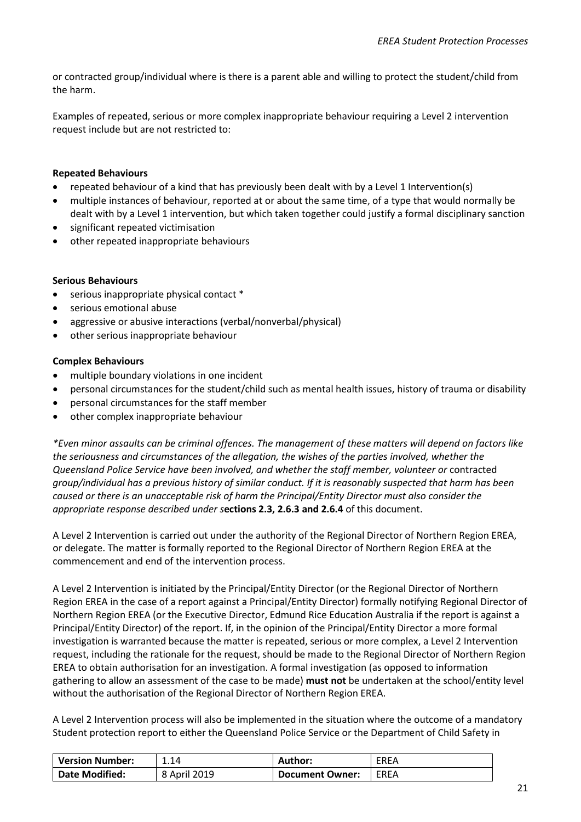or contracted group/individual where is there is a parent able and willing to protect the student/child from the harm.

Examples of repeated, serious or more complex inappropriate behaviour requiring a Level 2 intervention request include but are not restricted to:

#### **Repeated Behaviours**

- repeated behaviour of a kind that has previously been dealt with by a Level 1 Intervention(s)
- multiple instances of behaviour, reported at or about the same time, of a type that would normally be dealt with by a Level 1 intervention, but which taken together could justify a formal disciplinary sanction
- significant repeated victimisation
- other repeated inappropriate behaviours

#### **Serious Behaviours**

- serious inappropriate physical contact \*
- serious emotional abuse
- aggressive or abusive interactions (verbal/nonverbal/physical)
- other serious inappropriate behaviour

#### **Complex Behaviours**

- multiple boundary violations in one incident
- personal circumstances for the student/child such as mental health issues, history of trauma or disability
- personal circumstances for the staff member
- other complex inappropriate behaviour

*\*Even minor assaults can be criminal offences. The management of these matters will depend on factors like the seriousness and circumstances of the allegation, the wishes of the parties involved, whether the Queensland Police Service have been involved, and whether the staff member, volunteer or* contracted *group/individual has a previous history of similar conduct. If it is reasonably suspected that harm has been caused or there is an unacceptable risk of harm the Principal/Entity Director must also consider the appropriate response described under s***ections 2.3, 2.6.3 and 2.6.4** of this document.

A Level 2 Intervention is carried out under the authority of the Regional Director of Northern Region EREA, or delegate. The matter is formally reported to the Regional Director of Northern Region EREA at the commencement and end of the intervention process.

A Level 2 Intervention is initiated by the Principal/Entity Director (or the Regional Director of Northern Region EREA in the case of a report against a Principal/Entity Director) formally notifying Regional Director of Northern Region EREA (or the Executive Director, Edmund Rice Education Australia if the report is against a Principal/Entity Director) of the report. If, in the opinion of the Principal/Entity Director a more formal investigation is warranted because the matter is repeated, serious or more complex, a Level 2 Intervention request, including the rationale for the request, should be made to the Regional Director of Northern Region EREA to obtain authorisation for an investigation. A formal investigation (as opposed to information gathering to allow an assessment of the case to be made) **must not** be undertaken at the school/entity level without the authorisation of the Regional Director of Northern Region EREA.

A Level 2 Intervention process will also be implemented in the situation where the outcome of a mandatory Student protection report to either the Queensland Police Service or the Department of Child Safety in

| <b>Version Number:</b> | 1.14         | Author:                | <b>EREA</b> |
|------------------------|--------------|------------------------|-------------|
| <b>Date Modified:</b>  | 8 April 2019 | <b>Document Owner:</b> | <b>EREA</b> |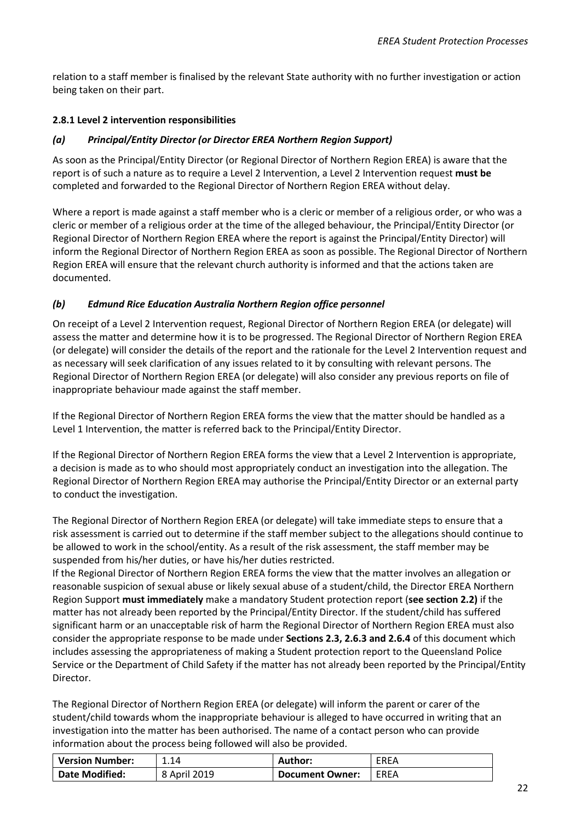relation to a staff member is finalised by the relevant State authority with no further investigation or action being taken on their part.

#### <span id="page-21-0"></span>**2.8.1 Level 2 intervention responsibilities**

#### *(a) Principal/Entity Director (or Director EREA Northern Region Support)*

As soon as the Principal/Entity Director (or Regional Director of Northern Region EREA) is aware that the report is of such a nature as to require a Level 2 Intervention, a Level 2 Intervention request **must be** completed and forwarded to the Regional Director of Northern Region EREA without delay.

Where a report is made against a staff member who is a cleric or member of a religious order, or who was a cleric or member of a religious order at the time of the alleged behaviour, the Principal/Entity Director (or Regional Director of Northern Region EREA where the report is against the Principal/Entity Director) will inform the Regional Director of Northern Region EREA as soon as possible. The Regional Director of Northern Region EREA will ensure that the relevant church authority is informed and that the actions taken are documented.

#### *(b) Edmund Rice Education Australia Northern Region office personnel*

On receipt of a Level 2 Intervention request, Regional Director of Northern Region EREA (or delegate) will assess the matter and determine how it is to be progressed. The Regional Director of Northern Region EREA (or delegate) will consider the details of the report and the rationale for the Level 2 Intervention request and as necessary will seek clarification of any issues related to it by consulting with relevant persons. The Regional Director of Northern Region EREA (or delegate) will also consider any previous reports on file of inappropriate behaviour made against the staff member.

If the Regional Director of Northern Region EREA forms the view that the matter should be handled as a Level 1 Intervention, the matter is referred back to the Principal/Entity Director.

If the Regional Director of Northern Region EREA forms the view that a Level 2 Intervention is appropriate, a decision is made as to who should most appropriately conduct an investigation into the allegation. The Regional Director of Northern Region EREA may authorise the Principal/Entity Director or an external party to conduct the investigation.

The Regional Director of Northern Region EREA (or delegate) will take immediate steps to ensure that a risk assessment is carried out to determine if the staff member subject to the allegations should continue to be allowed to work in the school/entity. As a result of the risk assessment, the staff member may be suspended from his/her duties, or have his/her duties restricted.

If the Regional Director of Northern Region EREA forms the view that the matter involves an allegation or reasonable suspicion of sexual abuse or likely sexual abuse of a student/child, the Director EREA Northern Region Support **must immediately** make a mandatory Student protection report (**see section 2.2)** if the matter has not already been reported by the Principal/Entity Director. If the student/child has suffered significant harm or an unacceptable risk of harm the Regional Director of Northern Region EREA must also consider the appropriate response to be made under **Sections 2.3, 2.6.3 and 2.6.4** of this document which includes assessing the appropriateness of making a Student protection report to the Queensland Police Service or the Department of Child Safety if the matter has not already been reported by the Principal/Entity Director.

The Regional Director of Northern Region EREA (or delegate) will inform the parent or carer of the student/child towards whom the inappropriate behaviour is alleged to have occurred in writing that an investigation into the matter has been authorised. The name of a contact person who can provide information about the process being followed will also be provided.

| <b>Version Number:</b> | 1.14         | Author:                | <b>EREA</b> |
|------------------------|--------------|------------------------|-------------|
| <b>Date Modified:</b>  | 8 April 2019 | <b>Document Owner:</b> | EREA        |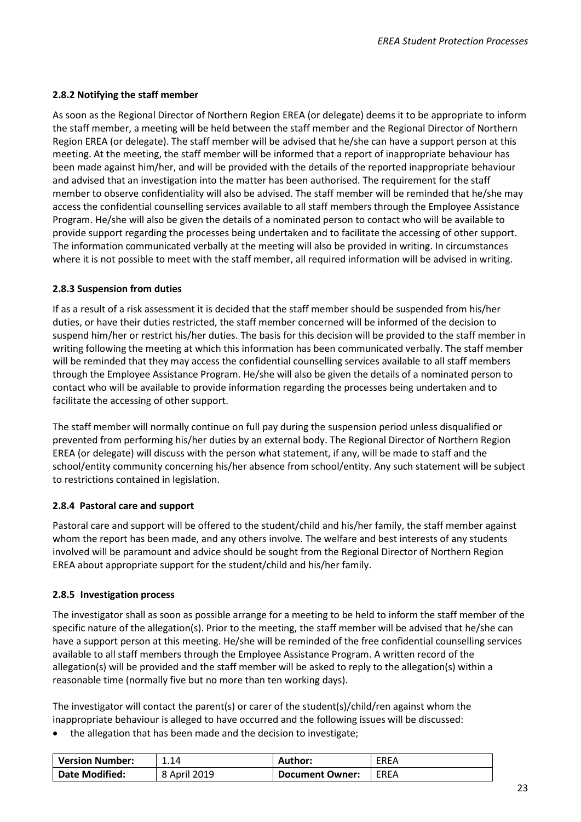#### <span id="page-22-0"></span>**2.8.2 Notifying the staff member**

As soon as the Regional Director of Northern Region EREA (or delegate) deems it to be appropriate to inform the staff member, a meeting will be held between the staff member and the Regional Director of Northern Region EREA (or delegate). The staff member will be advised that he/she can have a support person at this meeting. At the meeting, the staff member will be informed that a report of inappropriate behaviour has been made against him/her, and will be provided with the details of the reported inappropriate behaviour and advised that an investigation into the matter has been authorised. The requirement for the staff member to observe confidentiality will also be advised. The staff member will be reminded that he/she may access the confidential counselling services available to all staff members through the Employee Assistance Program. He/she will also be given the details of a nominated person to contact who will be available to provide support regarding the processes being undertaken and to facilitate the accessing of other support. The information communicated verbally at the meeting will also be provided in writing. In circumstances where it is not possible to meet with the staff member, all required information will be advised in writing.

#### <span id="page-22-1"></span>**2.8.3 Suspension from duties**

If as a result of a risk assessment it is decided that the staff member should be suspended from his/her duties, or have their duties restricted, the staff member concerned will be informed of the decision to suspend him/her or restrict his/her duties. The basis for this decision will be provided to the staff member in writing following the meeting at which this information has been communicated verbally. The staff member will be reminded that they may access the confidential counselling services available to all staff members through the Employee Assistance Program. He/she will also be given the details of a nominated person to contact who will be available to provide information regarding the processes being undertaken and to facilitate the accessing of other support.

The staff member will normally continue on full pay during the suspension period unless disqualified or prevented from performing his/her duties by an external body. The Regional Director of Northern Region EREA (or delegate) will discuss with the person what statement, if any, will be made to staff and the school/entity community concerning his/her absence from school/entity. Any such statement will be subject to restrictions contained in legislation.

#### <span id="page-22-2"></span>**2.8.4 Pastoral care and support**

Pastoral care and support will be offered to the student/child and his/her family, the staff member against whom the report has been made, and any others involve. The welfare and best interests of any students involved will be paramount and advice should be sought from the Regional Director of Northern Region EREA about appropriate support for the student/child and his/her family.

#### <span id="page-22-3"></span>**2.8.5 Investigation process**

The investigator shall as soon as possible arrange for a meeting to be held to inform the staff member of the specific nature of the allegation(s). Prior to the meeting, the staff member will be advised that he/she can have a support person at this meeting. He/she will be reminded of the free confidential counselling services available to all staff members through the Employee Assistance Program. A written record of the allegation(s) will be provided and the staff member will be asked to reply to the allegation(s) within a reasonable time (normally five but no more than ten working days).

The investigator will contact the parent(s) or carer of the student(s)/child/ren against whom the inappropriate behaviour is alleged to have occurred and the following issues will be discussed:

• the allegation that has been made and the decision to investigate;

| <b>Version Number:</b> | 1.14         | <b>Author:</b>         | EREA |
|------------------------|--------------|------------------------|------|
| <b>Date Modified:</b>  | 8 April 2019 | <b>Document Owner:</b> | EREA |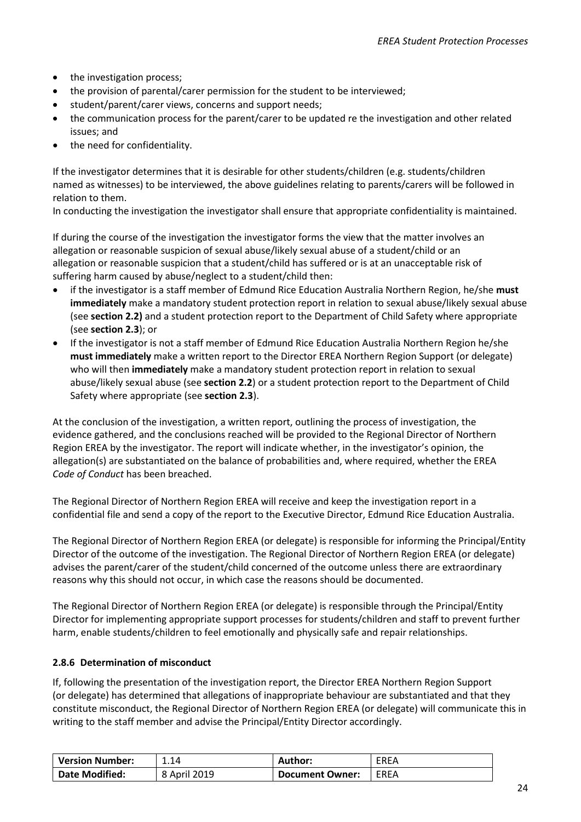- the investigation process;
- the provision of parental/carer permission for the student to be interviewed;
- student/parent/carer views, concerns and support needs;
- the communication process for the parent/carer to be updated re the investigation and other related issues; and
- the need for confidentiality.

If the investigator determines that it is desirable for other students/children (e.g. students/children named as witnesses) to be interviewed, the above guidelines relating to parents/carers will be followed in relation to them.

In conducting the investigation the investigator shall ensure that appropriate confidentiality is maintained.

If during the course of the investigation the investigator forms the view that the matter involves an allegation or reasonable suspicion of sexual abuse/likely sexual abuse of a student/child or an allegation or reasonable suspicion that a student/child has suffered or is at an unacceptable risk of suffering harm caused by abuse/neglect to a student/child then:

- if the investigator is a staff member of Edmund Rice Education Australia Northern Region, he/she **must immediately** make a mandatory student protection report in relation to sexual abuse/likely sexual abuse (see **section 2.2)** and a student protection report to the Department of Child Safety where appropriate (see **section 2.3**); or
- If the investigator is not a staff member of Edmund Rice Education Australia Northern Region he/she **must immediately** make a written report to the Director EREA Northern Region Support (or delegate) who will then **immediately** make a mandatory student protection report in relation to sexual abuse/likely sexual abuse (see **section 2.2**) or a student protection report to the Department of Child Safety where appropriate (see **section 2.3**).

At the conclusion of the investigation, a written report, outlining the process of investigation, the evidence gathered, and the conclusions reached will be provided to the Regional Director of Northern Region EREA by the investigator. The report will indicate whether, in the investigator's opinion, the allegation(s) are substantiated on the balance of probabilities and, where required, whether the EREA *Code of Conduct* has been breached.

The Regional Director of Northern Region EREA will receive and keep the investigation report in a confidential file and send a copy of the report to the Executive Director, Edmund Rice Education Australia.

The Regional Director of Northern Region EREA (or delegate) is responsible for informing the Principal/Entity Director of the outcome of the investigation. The Regional Director of Northern Region EREA (or delegate) advises the parent/carer of the student/child concerned of the outcome unless there are extraordinary reasons why this should not occur, in which case the reasons should be documented.

The Regional Director of Northern Region EREA (or delegate) is responsible through the Principal/Entity Director for implementing appropriate support processes for students/children and staff to prevent further harm, enable students/children to feel emotionally and physically safe and repair relationships.

#### <span id="page-23-0"></span>**2.8.6 Determination of misconduct**

If, following the presentation of the investigation report, the Director EREA Northern Region Support (or delegate) has determined that allegations of inappropriate behaviour are substantiated and that they constitute misconduct, the Regional Director of Northern Region EREA (or delegate) will communicate this in writing to the staff member and advise the Principal/Entity Director accordingly.

| <b>Version Number:</b> | 1.14         | Author:                | <b>EREA</b> |
|------------------------|--------------|------------------------|-------------|
| <b>Date Modified:</b>  | 8 April 2019 | <b>Document Owner:</b> | <b>EREA</b> |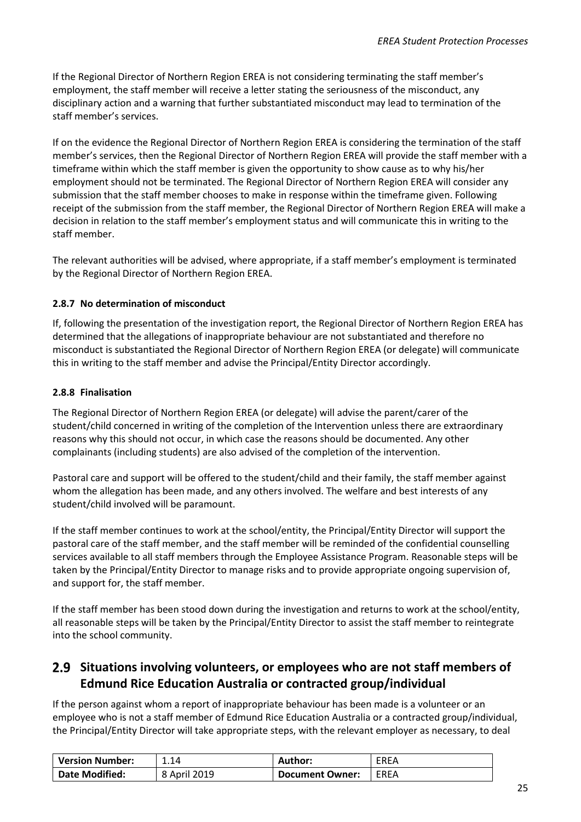If the Regional Director of Northern Region EREA is not considering terminating the staff member's employment, the staff member will receive a letter stating the seriousness of the misconduct, any disciplinary action and a warning that further substantiated misconduct may lead to termination of the staff member's services.

If on the evidence the Regional Director of Northern Region EREA is considering the termination of the staff member's services, then the Regional Director of Northern Region EREA will provide the staff member with a timeframe within which the staff member is given the opportunity to show cause as to why his/her employment should not be terminated. The Regional Director of Northern Region EREA will consider any submission that the staff member chooses to make in response within the timeframe given. Following receipt of the submission from the staff member, the Regional Director of Northern Region EREA will make a decision in relation to the staff member's employment status and will communicate this in writing to the staff member.

The relevant authorities will be advised, where appropriate, if a staff member's employment is terminated by the Regional Director of Northern Region EREA.

#### <span id="page-24-0"></span>**2.8.7 No determination of misconduct**

If, following the presentation of the investigation report, the Regional Director of Northern Region EREA has determined that the allegations of inappropriate behaviour are not substantiated and therefore no misconduct is substantiated the Regional Director of Northern Region EREA (or delegate) will communicate this in writing to the staff member and advise the Principal/Entity Director accordingly.

#### <span id="page-24-1"></span>**2.8.8 Finalisation**

The Regional Director of Northern Region EREA (or delegate) will advise the parent/carer of the student/child concerned in writing of the completion of the Intervention unless there are extraordinary reasons why this should not occur, in which case the reasons should be documented. Any other complainants (including students) are also advised of the completion of the intervention.

Pastoral care and support will be offered to the student/child and their family, the staff member against whom the allegation has been made, and any others involved. The welfare and best interests of any student/child involved will be paramount.

If the staff member continues to work at the school/entity, the Principal/Entity Director will support the pastoral care of the staff member, and the staff member will be reminded of the confidential counselling services available to all staff members through the Employee Assistance Program. Reasonable steps will be taken by the Principal/Entity Director to manage risks and to provide appropriate ongoing supervision of, and support for, the staff member.

If the staff member has been stood down during the investigation and returns to work at the school/entity, all reasonable steps will be taken by the Principal/Entity Director to assist the staff member to reintegrate into the school community.

#### <span id="page-24-2"></span>**Situations involving volunteers, or employees who are not staff members of Edmund Rice Education Australia or contracted group/individual**

If the person against whom a report of inappropriate behaviour has been made is a volunteer or an employee who is not a staff member of Edmund Rice Education Australia or a contracted group/individual, the Principal/Entity Director will take appropriate steps, with the relevant employer as necessary, to deal

| <b>Version Number:</b> | 1.14         | Author:                | <b>EREA</b> |
|------------------------|--------------|------------------------|-------------|
| <b>Date Modified:</b>  | 8 April 2019 | <b>Document Owner:</b> | EREA        |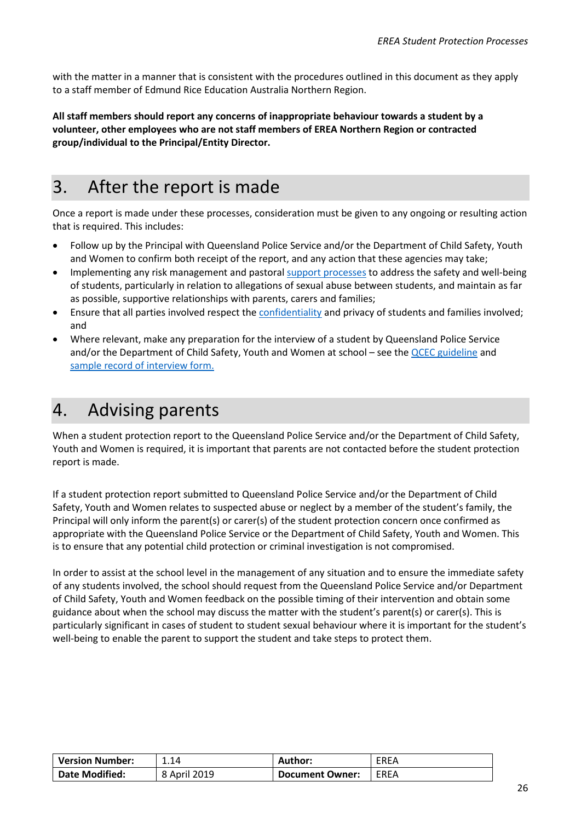with the matter in a manner that is consistent with the procedures outlined in this document as they apply to a staff member of Edmund Rice Education Australia Northern Region.

**All staff members should report any concerns of inappropriate behaviour towards a student by a volunteer, other employees who are not staff members of EREA Northern Region or contracted group/individual to the Principal/Entity Director.**

# <span id="page-25-0"></span>3. After the report is made

Once a report is made under these processes, consideration must be given to any ongoing or resulting action that is required. This includes:

- Follow up by the Principal with Queensland Police Service and/or the Department of Child Safety, Youth and Women to confirm both receipt of the report, and any action that these agencies may take;
- Implementing any risk management and pastoral support [processes](#page-49-0) to address the safety and well-being of students, particularly in relation to allegations of sexual abuse between students, and maintain as far as possible, supportive relationships with parents, carers and families;
- Ensure that all parties involved respect th[e confidentiality](#page-48-0) and privacy of students and families involved; and
- Where relevant, make any preparation for the interview of a student by Queensland Police Service and/or the Department of Child Safety, Youth and Women at school – see th[e QCEC guideline](http://qcec.catholic.edu.au/wp-content/uploads/2018/04/20180405-Resource-Interviews-of-children_at_school.pdf) and [sample record of interview form.](http://qcec.catholic.edu.au/wp-content/uploads/2018/04/20180405-Record-of-Interview-Form.docx)

# <span id="page-25-1"></span>4. Advising parents

When a student protection report to the Queensland Police Service and/or the Department of Child Safety, Youth and Women is required, it is important that parents are not contacted before the student protection report is made.

If a student protection report submitted to Queensland Police Service and/or the Department of Child Safety, Youth and Women relates to suspected abuse or neglect by a member of the student's family, the Principal will only inform the parent(s) or carer(s) of the student protection concern once confirmed as appropriate with the Queensland Police Service or the Department of Child Safety, Youth and Women. This is to ensure that any potential child protection or criminal investigation is not compromised.

In order to assist at the school level in the management of any situation and to ensure the immediate safety of any students involved, the school should request from the Queensland Police Service and/or Department of Child Safety, Youth and Women feedback on the possible timing of their intervention and obtain some guidance about when the school may discuss the matter with the student's parent(s) or carer(s). This is particularly significant in cases of student to student sexual behaviour where it is important for the student's well-being to enable the parent to support the student and take steps to protect them.

| <b>Version Number:</b> | 1.14         | Author:                | EREA |
|------------------------|--------------|------------------------|------|
| <b>Date Modified:</b>  | 8 April 2019 | <b>Document Owner:</b> | EREA |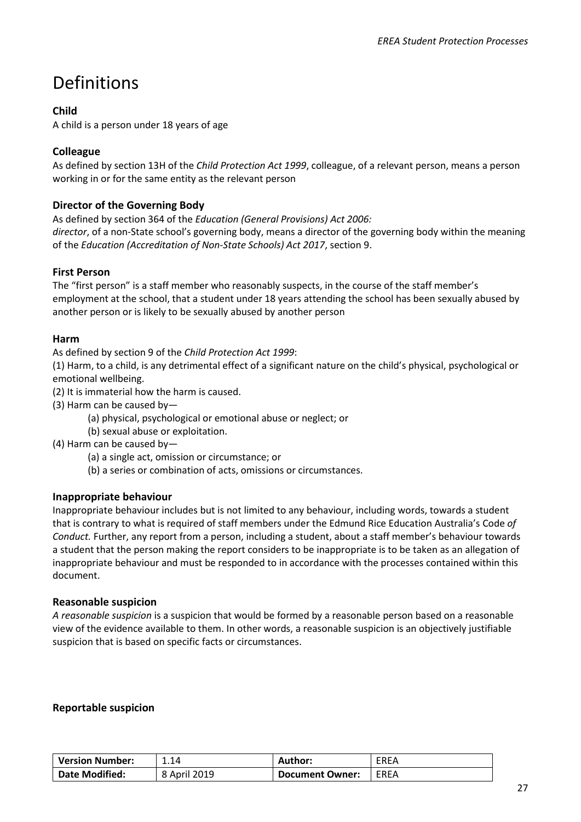# Definitions

#### **Child**

A child is a person under 18 years of age

#### **Colleague**

As defined by section 13H of the *Child Protection Act 1999*, colleague, of a relevant person, means a person working in or for the same entity as the relevant person

#### **Director of the Governing Body**

As defined by section 364 of the *Education (General Provisions) Act 2006: director*, of a non-State school's governing body, means a director of the governing body within the meaning of the *Education (Accreditation of Non-State Schools) Act 2017*, section 9.

#### **First Person**

The "first person" is a staff member who reasonably suspects, in the course of the staff member's employment at the school, that a student under 18 years attending the school has been sexually abused by another person or is likely to be sexually abused by another person

#### **Harm**

As defined by section 9 of the *Child Protection Act 1999*:

(1) Harm, to a child, is any detrimental effect of a significant nature on the child's physical, psychological or emotional wellbeing.

(2) It is immaterial how the harm is caused.

(3) Harm can be caused by—

(a) physical, psychological or emotional abuse or neglect; or

(b) sexual abuse or exploitation.

(4) Harm can be caused by—

- (a) a single act, omission or circumstance; or
- (b) a series or combination of acts, omissions or circumstances.

#### **Inappropriate behaviour**

Inappropriate behaviour includes but is not limited to any behaviour, including words, towards a student that is contrary to what is required of staff members under the Edmund Rice Education Australia's Code *of Conduct.* Further, any report from a person, including a student, about a staff member's behaviour towards a student that the person making the report considers to be inappropriate is to be taken as an allegation of inappropriate behaviour and must be responded to in accordance with the processes contained within this document.

#### **Reasonable suspicion**

*A reasonable suspicion* is a suspicion that would be formed by a reasonable person based on a reasonable view of the evidence available to them. In other words, a reasonable suspicion is an objectively justifiable suspicion that is based on specific facts or circumstances.

#### **Reportable suspicion**

| <b>Version Number:</b> | 1.14         | <b>Author:</b>         | EREA |
|------------------------|--------------|------------------------|------|
| <b>Date Modified:</b>  | 8 April 2019 | <b>Document Owner:</b> | EREA |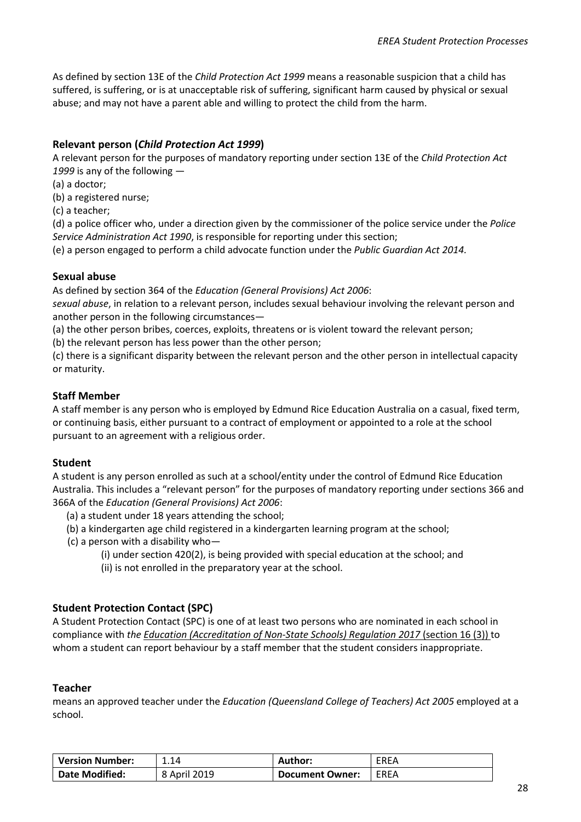As defined by section 13E of the *Child Protection Act 1999* means a reasonable suspicion that a child has suffered, is suffering, or is at unacceptable risk of suffering, significant harm caused by physical or sexual abuse; and may not have a parent able and willing to protect the child from the harm.

#### **Relevant person (***Child Protection Act 1999***)**

A relevant person for the purposes of mandatory reporting under section 13E of the *Child Protection Act 1999* is any of the following —

(a) a doctor;

(b) a registered nurse;

(c) a teacher;

(d) a police officer who, under a direction given by the commissioner of the police service under the *Police Service Administration Act 1990*, is responsible for reporting under this section;

(e) a person engaged to perform a child advocate function under the *Public Guardian Act 2014.*

#### **Sexual abuse**

As defined by section 364 of the *Education (General Provisions) Act 2006*:

*sexual abuse*, in relation to a relevant person, includes sexual behaviour involving the relevant person and another person in the following circumstances—

(a) the other person bribes, coerces, exploits, threatens or is violent toward the relevant person;

(b) the relevant person has less power than the other person;

(c) there is a significant disparity between the relevant person and the other person in intellectual capacity or maturity.

#### <span id="page-27-0"></span>**Staff Member**

A staff member is any person who is employed by Edmund Rice Education Australia on a casual, fixed term, or continuing basis, either pursuant to a contract of employment or appointed to a role at the school pursuant to an agreement with a religious order.

#### **Student**

A student is any person enrolled as such at a school/entity under the control of Edmund Rice Education Australia. This includes a "relevant person" for the purposes of mandatory reporting under sections 366 and 366A of the *Education (General Provisions) Act 2006*:

- (a) a student under 18 years attending the school;
- (b) a kindergarten age child registered in a kindergarten learning program at the school;
- (c) a person with a disability who—
	- (i) under section 420(2), is being provided with special education at the school; and
	- (ii) is not enrolled in the preparatory year at the school.

#### **Student Protection Contact (SPC)**

A Student Protection Contact (SPC) is one of at least two persons who are nominated in each school in compliance with *the Education (Accreditation of Non-State Schools) Regulation 2017* (section 16 (3)) to whom a student can report behaviour by a staff member that the student considers inappropriate.

#### **Teacher**

means an approved teacher under the *Education (Queensland College of Teachers) Act 2005* employed at a school.

| <b>Version Number:</b> | 1.14         | Author:                | <b>EREA</b> |
|------------------------|--------------|------------------------|-------------|
| <b>Date Modified:</b>  | 8 April 2019 | <b>Document Owner:</b> | EREA        |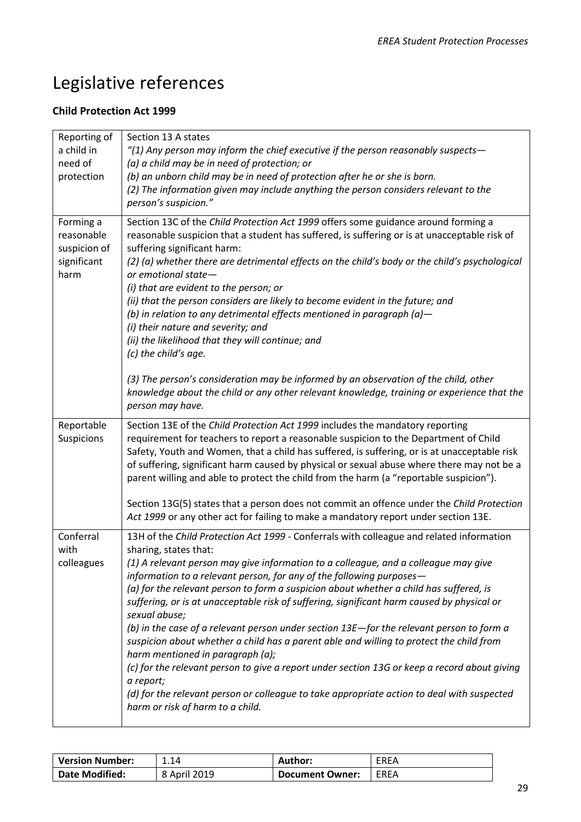# Legislative references

#### **Child Protection Act 1999**

| Reporting of<br>a child in<br>need of<br>protection            | Section 13 A states<br>$''(1)$ Any person may inform the chief executive if the person reasonably suspects-<br>(a) a child may be in need of protection; or<br>(b) an unborn child may be in need of protection after he or she is born.<br>(2) The information given may include anything the person considers relevant to the<br>person's suspicion."                                                                                                                                                                                                                                                                                                                                                                                                                                                                                                                                                                                                                |
|----------------------------------------------------------------|------------------------------------------------------------------------------------------------------------------------------------------------------------------------------------------------------------------------------------------------------------------------------------------------------------------------------------------------------------------------------------------------------------------------------------------------------------------------------------------------------------------------------------------------------------------------------------------------------------------------------------------------------------------------------------------------------------------------------------------------------------------------------------------------------------------------------------------------------------------------------------------------------------------------------------------------------------------------|
| Forming a<br>reasonable<br>suspicion of<br>significant<br>harm | Section 13C of the Child Protection Act 1999 offers some guidance around forming a<br>reasonable suspicion that a student has suffered, is suffering or is at unacceptable risk of<br>suffering significant harm:<br>(2) (a) whether there are detrimental effects on the child's body or the child's psychological<br>or emotional state-<br>(i) that are evident to the person; or<br>(ii) that the person considers are likely to become evident in the future; and<br>(b) in relation to any detrimental effects mentioned in paragraph (a) $-$<br>(i) their nature and severity; and<br>(ii) the likelihood that they will continue; and<br>(c) the child's age.<br>(3) The person's consideration may be informed by an observation of the child, other<br>knowledge about the child or any other relevant knowledge, training or experience that the<br>person may have.                                                                                        |
| Reportable<br>Suspicions                                       | Section 13E of the Child Protection Act 1999 includes the mandatory reporting<br>requirement for teachers to report a reasonable suspicion to the Department of Child<br>Safety, Youth and Women, that a child has suffered, is suffering, or is at unacceptable risk<br>of suffering, significant harm caused by physical or sexual abuse where there may not be a<br>parent willing and able to protect the child from the harm (a "reportable suspicion").<br>Section 13G(5) states that a person does not commit an offence under the Child Protection<br>Act 1999 or any other act for failing to make a mandatory report under section 13E.                                                                                                                                                                                                                                                                                                                      |
| Conferral<br>with<br>colleagues                                | 13H of the Child Protection Act 1999 - Conferrals with colleague and related information<br>sharing, states that:<br>(1) A relevant person may give information to a colleague, and a colleague may give<br>information to a relevant person, for any of the following purposes-<br>(a) for the relevant person to form a suspicion about whether a child has suffered, is<br>suffering, or is at unacceptable risk of suffering, significant harm caused by physical or<br>sexual abuse;<br>(b) in the case of a relevant person under section $13E$ —for the relevant person to form a<br>suspicion about whether a child has a parent able and willing to protect the child from<br>harm mentioned in paragraph (a);<br>(c) for the relevant person to give a report under section 13G or keep a record about giving<br>a report;<br>(d) for the relevant person or colleague to take appropriate action to deal with suspected<br>harm or risk of harm to a child. |

| <b>Version Number:</b> | 1.14         | Author:                | EREA |
|------------------------|--------------|------------------------|------|
| <b>Date Modified:</b>  | 8 April 2019 | <b>Document Owner:</b> | EREA |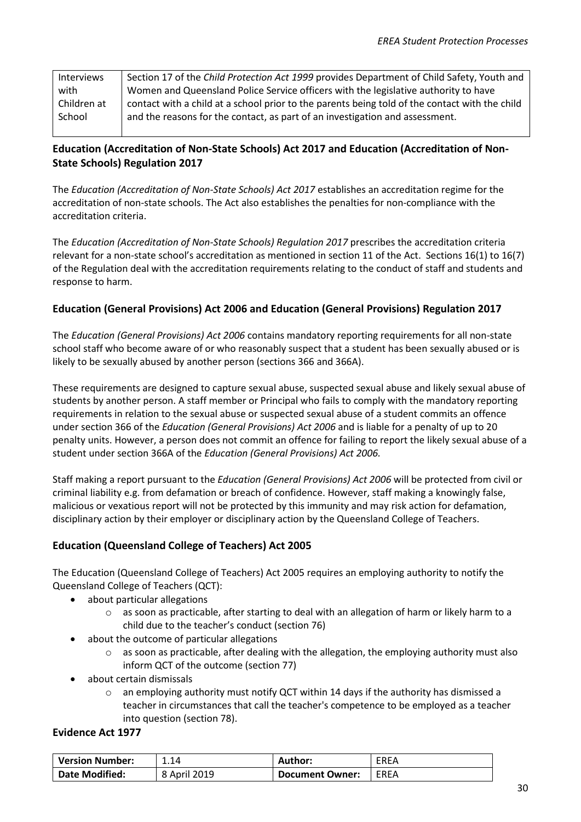| Interviews  | Section 17 of the Child Protection Act 1999 provides Department of Child Safety, Youth and     |
|-------------|------------------------------------------------------------------------------------------------|
| with        | Women and Queensland Police Service officers with the legislative authority to have            |
| Children at | contact with a child at a school prior to the parents being told of the contact with the child |
| School      | and the reasons for the contact, as part of an investigation and assessment.                   |
|             |                                                                                                |

#### **Education (Accreditation of Non-State Schools) Act 2017 and Education (Accreditation of Non-State Schools) Regulation 2017**

The *Education (Accreditation of Non-State Schools) Act 2017* establishes an accreditation regime for the accreditation of non-state schools. The Act also establishes the penalties for non-compliance with the accreditation criteria.

The *Education (Accreditation of Non-State Schools) Regulation 2017* prescribes the accreditation criteria relevant for a non-state school's accreditation as mentioned in section 11 of the Act. Sections 16(1) to 16(7) of the Regulation deal with the accreditation requirements relating to the conduct of staff and students and response to harm.

#### **Education (General Provisions) Act 2006 and Education (General Provisions) Regulation 2017**

The *Education (General Provisions) Act 2006* contains mandatory reporting requirements for all non-state school staff who become aware of or who reasonably suspect that a student has been sexually abused or is likely to be sexually abused by another person (sections 366 and 366A).

These requirements are designed to capture sexual abuse, suspected sexual abuse and likely sexual abuse of students by another person. A staff member or Principal who fails to comply with the mandatory reporting requirements in relation to the sexual abuse or suspected sexual abuse of a student commits an offence under section 366 of the *Education (General Provisions) Act 2006* and is liable for a penalty of up to 20 penalty units. However, a person does not commit an offence for failing to report the likely sexual abuse of a student under section 366A of the *Education (General Provisions) Act 2006.*

Staff making a report pursuant to the *Education (General Provisions) Act 2006* will be protected from civil or criminal liability e.g. from defamation or breach of confidence. However, staff making a knowingly false, malicious or vexatious report will not be protected by this immunity and may risk action for defamation, disciplinary action by their employer or disciplinary action by the Queensland College of Teachers.

#### **Education (Queensland College of Teachers) Act 2005**

The Education (Queensland College of Teachers) Act 2005 requires an employing authority to notify the Queensland College of Teachers (QCT):

- about particular allegations
	- $\circ$  as soon as practicable, after starting to deal with an allegation of harm or likely harm to a child due to the teacher's conduct (section 76)
- about the outcome of particular allegations
	- $\circ$  as soon as practicable, after dealing with the allegation, the employing authority must also inform QCT of the outcome (section 77)
- about certain dismissals
	- $\circ$  an employing authority must notify QCT within 14 days if the authority has dismissed a teacher in circumstances that call the teacher's competence to be employed as a teacher into question (section 78).

#### **Evidence Act 1977**

| <b>Version Number:</b> | 1.14         | Author:                | <b>EREA</b> |
|------------------------|--------------|------------------------|-------------|
| <b>Date Modified:</b>  | 8 April 2019 | <b>Document Owner:</b> | EREA        |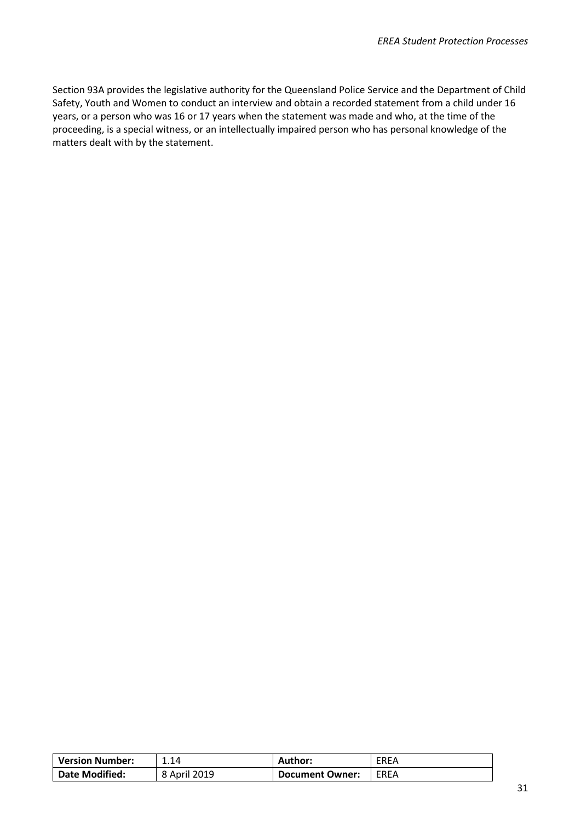Section 93A provides the legislative authority for the Queensland Police Service and the Department of Child Safety, Youth and Women to conduct an interview and obtain a recorded statement from a child under 16 years, or a person who was 16 or 17 years when the statement was made and who, at the time of the proceeding, is a special witness, or an intellectually impaired person who has personal knowledge of the matters dealt with by the statement.

| <b>Version Number:</b> | 1.14         | Author:         | EREA |
|------------------------|--------------|-----------------|------|
| <b>Date Modified:</b>  | 8 April 2019 | Document Owner: | EREA |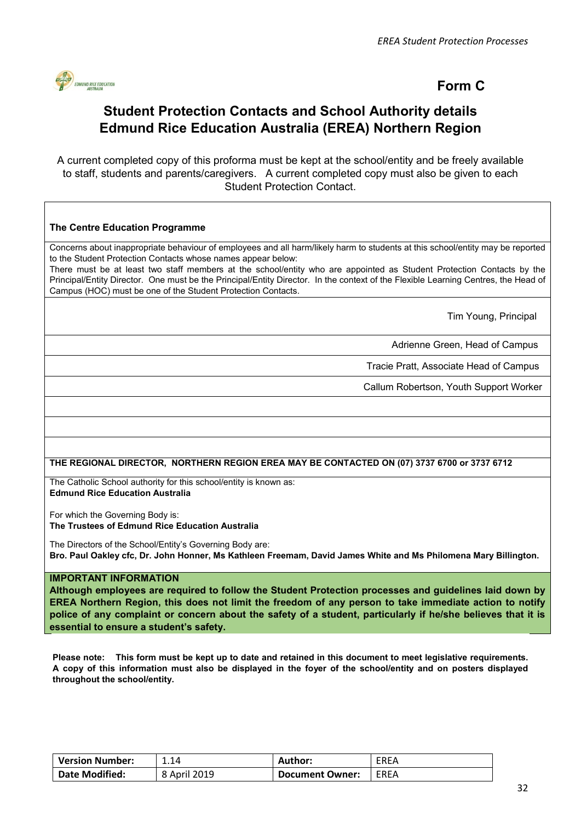

#### **Form C**

### **Student Protection Contacts and School Authority details Edmund Rice Education Australia (EREA) Northern Region**

<span id="page-31-0"></span>A current completed copy of this proforma must be kept at the school/entity and be freely available to staff, students and parents/caregivers. A current completed copy must also be given to each Student Protection Contact.

#### **The Centre Education Programme**

Concerns about inappropriate behaviour of employees and all harm/likely harm to students at this school/entity may be reported to the Student Protection Contacts whose names appear below:

There must be at least two staff members at the school/entity who are appointed as Student Protection Contacts by the Principal/Entity Director. One must be the Principal/Entity Director. In the context of the Flexible Learning Centres, the Head of Campus (HOC) must be one of the Student Protection Contacts.

Tim Young, Principal

Adrienne Green, Head of Campus

Tracie Pratt, Associate Head of Campus

Callum Robertson, Youth Support Worker

#### **THE REGIONAL DIRECTOR, NORTHERN REGION EREA MAY BE CONTACTED ON (07) 3737 6700 or 3737 6712**

The Catholic School authority for this school/entity is known as: **Edmund Rice Education Australia**

For which the Governing Body is: **The Trustees of Edmund Rice Education Australia**

The Directors of the School/Entity's Governing Body are: **Bro. Paul Oakley cfc, Dr. John Honner, Ms Kathleen Freemam, David James White and Ms Philomena Mary Billington.** 

#### **IMPORTANT INFORMATION**

**Although employees are required to follow the Student Protection processes and guidelines laid down by EREA Northern Region, this does not limit the freedom of any person to take immediate action to notify police of any complaint or concern about the safety of a student, particularly if he/she believes that it is essential to ensure a student's safety.**

**Please note: This form must be kept up to date and retained in this document to meet legislative requirements. A copy of this information must also be displayed in the foyer of the school/entity and on posters displayed throughout the school/entity.**

| <b>Version Number:</b> | 1.14         | Author:                | EREA |
|------------------------|--------------|------------------------|------|
| <b>Date Modified:</b>  | 8 April 2019 | <b>Document Owner:</b> | EREA |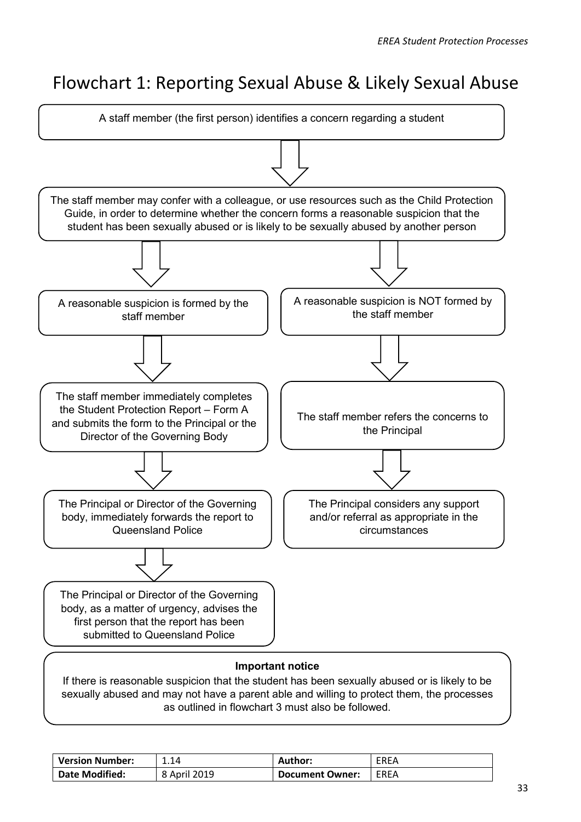# Flowchart 1: Reporting Sexual Abuse & Likely Sexual Abuse

<span id="page-32-0"></span>

If there is reasonable suspicion that the student has been sexually abused or is likely to be sexually abused and may not have a parent able and willing to protect them, the processes as outlined in flowchart 3 must also be followed.

| <b>Version Number:</b> | 1.14         | Author:                | EREA |
|------------------------|--------------|------------------------|------|
| Date Modified:         | 8 April 2019 | <b>Document Owner:</b> | EREA |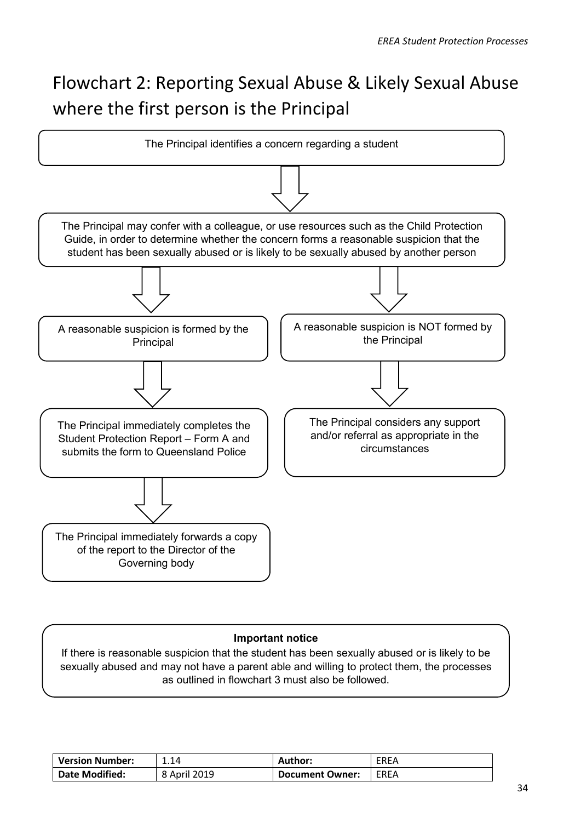# Flowchart 2: Reporting Sexual Abuse & Likely Sexual Abuse where the first person is the Principal

<span id="page-33-0"></span>

#### **Important notice**

If there is reasonable suspicion that the student has been sexually abused or is likely to be sexually abused and may not have a parent able and willing to protect them, the processes as outlined in flowchart 3 must also be followed.

| <b>Version Number:</b> | 1.14         | <b>Author:</b>         | <b>EREA</b> |
|------------------------|--------------|------------------------|-------------|
| Date Modified:         | 8 April 2019 | <b>Document Owner:</b> | EREA        |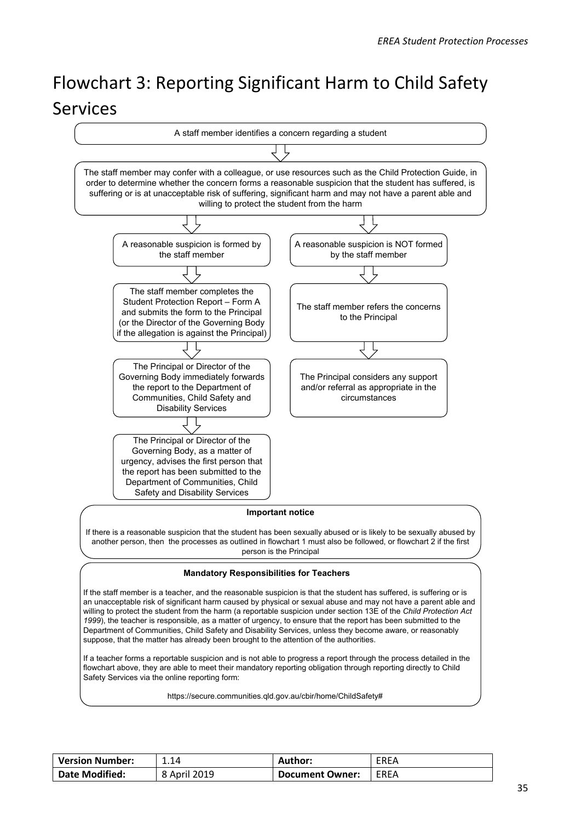# Flowchart 3: Reporting Significant Harm to Child Safety Services



| <b>Version Number:</b> | 1.14         | Author:         | <b>EREA</b> |
|------------------------|--------------|-----------------|-------------|
| <b>Date Modified:</b>  | 8 April 2019 | Document Owner: | EREA        |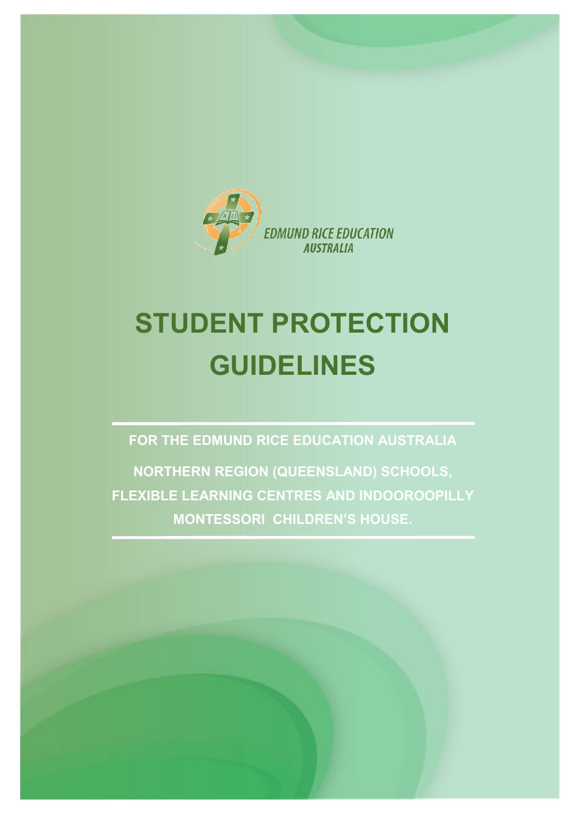

# **STUDENT PROTECTION GUIDELINES**

**FOR THE EDMUND RICE EDUCATION AUSTRALIA**

**NORTHERN REGION (QUEENSLAND) SCHOOLS, FLEXIBLE LEARNING CENTRES AND INDOOROOPILLY MONTESSORI CHILDREN'S HOUSE.**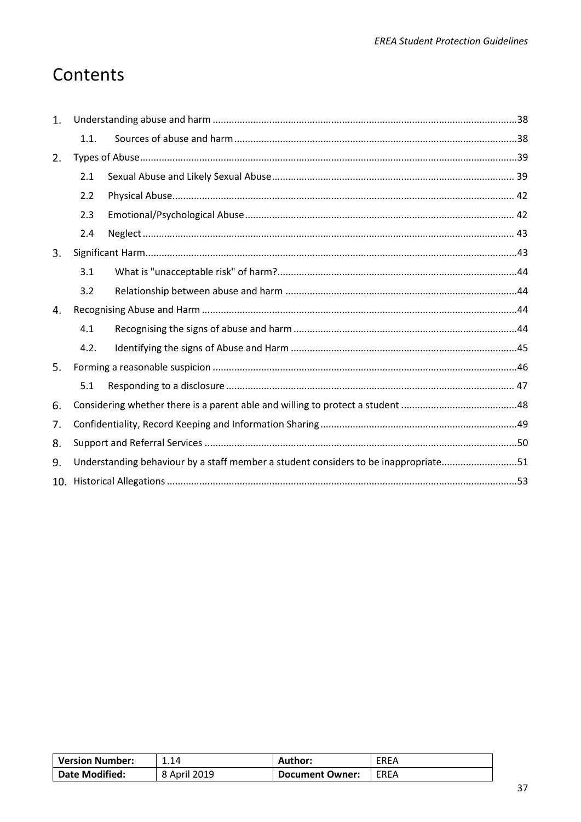# <span id="page-36-0"></span>Contents

| 1.  |      |                                                                                     |  |
|-----|------|-------------------------------------------------------------------------------------|--|
|     | 1.1. |                                                                                     |  |
| 2.  |      |                                                                                     |  |
|     | 2.1  |                                                                                     |  |
|     | 2.2  |                                                                                     |  |
|     | 2.3  |                                                                                     |  |
|     | 2.4  |                                                                                     |  |
| 3.  |      |                                                                                     |  |
|     | 3.1  |                                                                                     |  |
|     | 3.2  |                                                                                     |  |
| 4.  |      |                                                                                     |  |
|     | 4.1  |                                                                                     |  |
|     | 4.2. |                                                                                     |  |
| 5.  |      |                                                                                     |  |
|     | 5.1  |                                                                                     |  |
| 6.  |      |                                                                                     |  |
| 7.  |      |                                                                                     |  |
| 8.  |      |                                                                                     |  |
| 9.  |      | Understanding behaviour by a staff member a student considers to be inappropriate51 |  |
| 10. |      |                                                                                     |  |

| <b>Version Number:</b> | 1.14         | Author:                | EREA |
|------------------------|--------------|------------------------|------|
| <b>Date Modified:</b>  | 8 April 2019 | <b>Document Owner:</b> | EREA |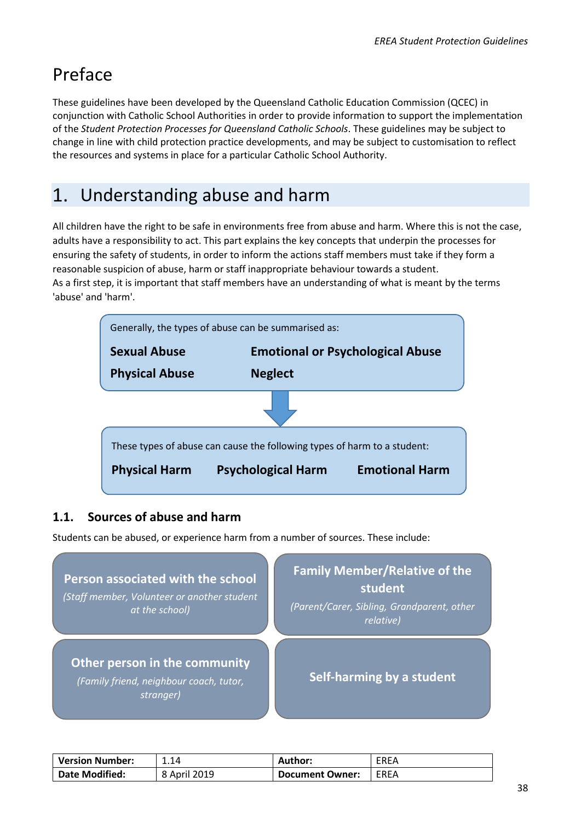# Preface

These guidelines have been developed by the Queensland Catholic Education Commission (QCEC) in conjunction with Catholic School Authorities in order to provide information to support the implementation of the *Student Protection Processes for Queensland Catholic Schools*. These guidelines may be subject to change in line with child protection practice developments, and may be subject to customisation to reflect the resources and systems in place for a particular Catholic School Authority.

# <span id="page-37-0"></span>Understanding abuse and harm

All children have the right to be safe in environments free from abuse and harm. Where this is not the case, adults have a responsibility to act. This part explains the key concepts that underpin the processes for ensuring the safety of students, in order to inform the actions staff members must take if they form a reasonable suspicion of abuse, harm or staff inappropriate behaviour towards a student. As a first step, it is important that staff members have an understanding of what is meant by the terms 'abuse' and 'harm'.



#### <span id="page-37-1"></span>**1.1. Sources of abuse and harm**

Students can be abused, or experience harm from a number of sources. These include:



| <b>Version Number:</b> | 1.14         | Author:                | <b>EREA</b> |
|------------------------|--------------|------------------------|-------------|
| <b>Date Modified:</b>  | 8 April 2019 | <b>Document Owner:</b> | EREA        |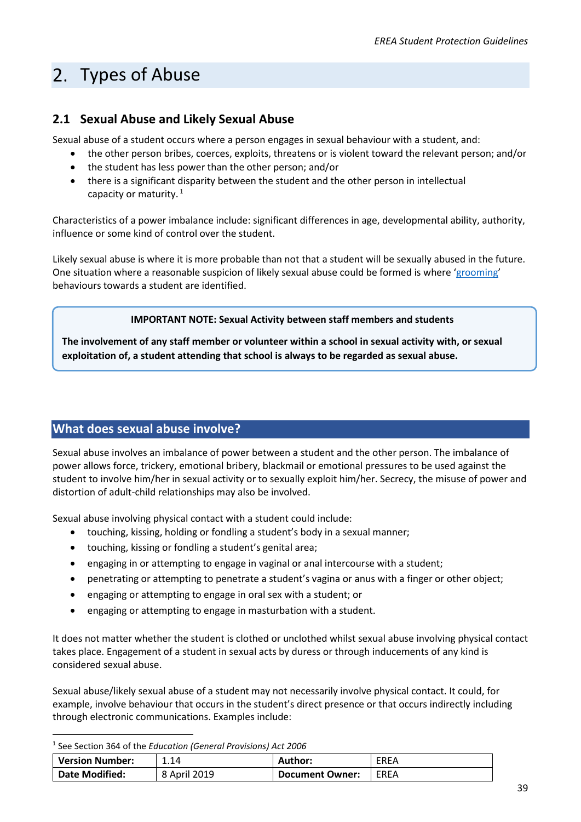# <span id="page-38-2"></span><span id="page-38-0"></span>2. Types of Abuse

#### <span id="page-38-1"></span>**2.1 Sexual Abuse and Likely Sexual Abuse**

Sexual abuse of a student occurs where a person engages in sexual behaviour with a student, and:

- the other person bribes, coerces, exploits, threatens or is violent toward the relevant person; and/or
- the student has less power than the other person; and/or
- there is a significant disparity between the student and the other person in intellectual capacity or maturity. $1$

Characteristics of a power imbalance include: significant differences in age, developmental ability, authority, influence or some kind of control over the student.

Likely sexual abuse is where it is more probable than not that a student will be sexually abused in the future. One situation where a reasonable suspicion of likely sexual abuse could be formed is where ['grooming'](#page-39-0) behaviours towards a student are identified.

#### **IMPORTANT NOTE: Sexual Activity between staff members and students**

**The involvement of any staff member or volunteer within a school in sexual activity with, or sexual exploitation of, a student attending that school is always to be regarded as sexual abuse.**

#### **What does sexual abuse involve?**

Sexual abuse involves an imbalance of power between a student and the other person. The imbalance of power allows force, trickery, emotional bribery, blackmail or emotional pressures to be used against the student to involve him/her in sexual activity or to sexually exploit him/her. Secrecy, the misuse of power and distortion of adult-child relationships may also be involved.

Sexual abuse involving physical contact with a student could include:

- touching, kissing, holding or fondling a student's body in a sexual manner;
- touching, kissing or fondling a student's genital area;
- engaging in or attempting to engage in vaginal or anal intercourse with a student;
- penetrating or attempting to penetrate a student's vagina or anus with a finger or other object;
- engaging or attempting to engage in oral sex with a student; or
- engaging or attempting to engage in masturbation with a student.

It does not matter whether the student is clothed or unclothed whilst sexual abuse involving physical contact takes place. Engagement of a student in sexual acts by duress or through inducements of any kind is considered sexual abuse.

Sexual abuse/likely sexual abuse of a student may not necessarily involve physical contact. It could, for example, involve behaviour that occurs in the student's direct presence or that occurs indirectly including through electronic communications. Examples include:

<span id="page-38-3"></span>1 See Section 364 of the *Education (General Provisions) Act 2006*

| <b>Version Number:</b> | 1.14         | <b>Author:</b>         | <b>EREA</b> |
|------------------------|--------------|------------------------|-------------|
| Date Modified:         | 8 April 2019 | <b>Document Owner:</b> | <b>EREA</b> |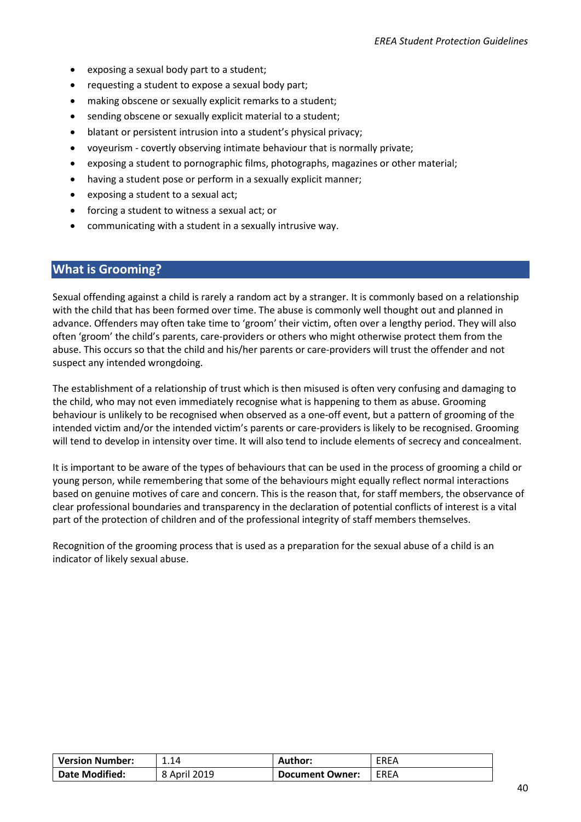- exposing a sexual body part to a student;
- requesting a student to expose a sexual body part;
- making obscene or sexually explicit remarks to a student;
- sending obscene or sexually explicit material to a student;
- blatant or persistent intrusion into a student's physical privacy;
- voyeurism covertly observing intimate behaviour that is normally private;
- exposing a student to pornographic films, photographs, magazines or other material;
- having a student pose or perform in a sexually explicit manner;
- exposing a student to a sexual act;
- forcing a student to witness a sexual act; or
- communicating with a student in a sexually intrusive way.

#### <span id="page-39-0"></span>**What is Grooming?**

Sexual offending against a child is rarely a random act by a stranger. It is commonly based on a relationship with the child that has been formed over time. The abuse is commonly well thought out and planned in advance. Offenders may often take time to 'groom' their victim, often over a lengthy period. They will also often 'groom' the child's parents, care-providers or others who might otherwise protect them from the abuse. This occurs so that the child and his/her parents or care-providers will trust the offender and not suspect any intended wrongdoing.

The establishment of a relationship of trust which is then misused is often very confusing and damaging to the child, who may not even immediately recognise what is happening to them as abuse. Grooming behaviour is unlikely to be recognised when observed as a one-off event, but a pattern of grooming of the intended victim and/or the intended victim's parents or care-providers is likely to be recognised. Grooming will tend to develop in intensity over time. It will also tend to include elements of secrecy and concealment.

It is important to be aware of the types of behaviours that can be used in the process of grooming a child or young person, while remembering that some of the behaviours might equally reflect normal interactions based on genuine motives of care and concern. This is the reason that, for staff members, the observance of clear professional boundaries and transparency in the declaration of potential conflicts of interest is a vital part of the protection of children and of the professional integrity of staff members themselves.

Recognition of the grooming process that is used as a preparation for the sexual abuse of a child is an indicator of likely sexual abuse.

| <b>Version Number:</b> | 1.14         | <b>Author:</b>         | EREA        |
|------------------------|--------------|------------------------|-------------|
| <b>Date Modified:</b>  | 8 April 2019 | <b>Document Owner:</b> | <b>FRFA</b> |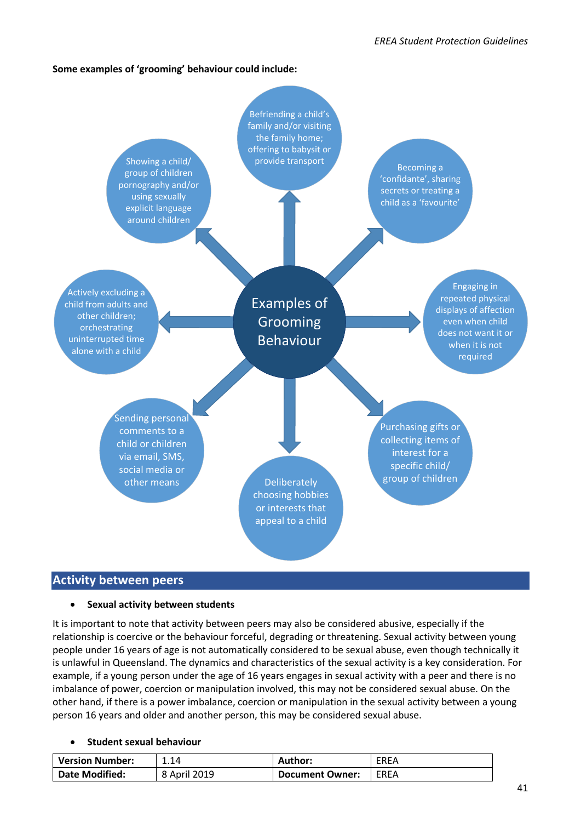#### **Some examples of 'grooming' behaviour could include:**



#### **Activity between peers**

#### • **Sexual activity between students**

It is important to note that activity between peers may also be considered abusive, especially if the relationship is coercive or the behaviour forceful, degrading or threatening. Sexual activity between young people under 16 years of age is not automatically considered to be sexual abuse, even though technically it is unlawful in Queensland. The dynamics and characteristics of the sexual activity is a key consideration. For example, if a young person under the age of 16 years engages in sexual activity with a peer and there is no imbalance of power, coercion or manipulation involved, this may not be considered sexual abuse. On the other hand, if there is a power imbalance, coercion or manipulation in the sexual activity between a young person 16 years and older and another person, this may be considered sexual abuse.

#### • **Student sexual behaviour**

| <b>Version Number:</b> | 1.14         | <b>Author:</b>  | EREA |
|------------------------|--------------|-----------------|------|
| Date Modified:         | 8 April 2019 | Document Owner: | EREA |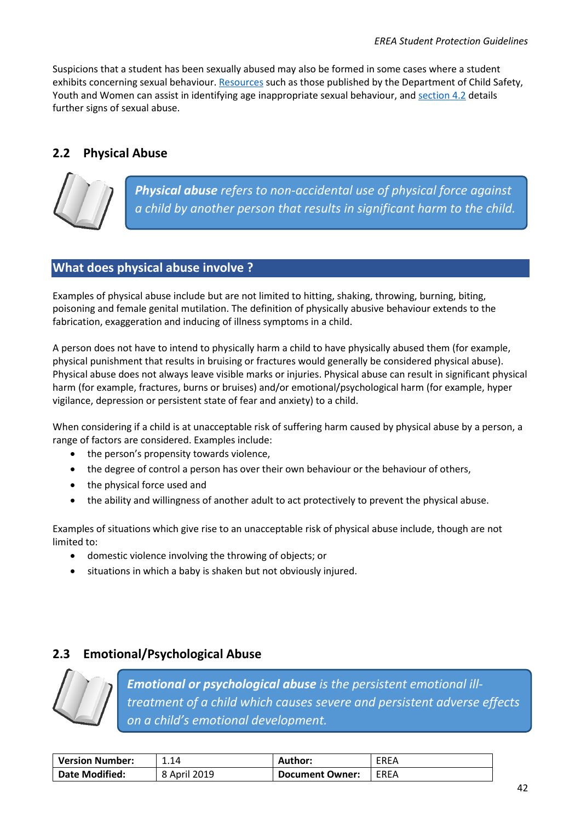Suspicions that a student has been sexually abused may also be formed in some cases where a student exhibits concerning sexual behaviour[. Resources](https://www.communities.qld.gov.au/resources/childsafety/foster-care/training/documents/ppt-sexual-behaviours.pdf) such as those published by the Department of Child Safety, Youth and Women can assist in identifying age inappropriate sexual behaviour, and [section 4.2](#page-43-0) details further signs of sexual abuse.

#### <span id="page-41-0"></span>**2.2 Physical Abuse**



*Physical abuse refers to non-accidental use of physical force against a child by another person that results in significant harm to the child.*

#### **What does physical abuse involve ?**

Examples of physical abuse include but are not limited to hitting, shaking, throwing, burning, biting, poisoning and female genital mutilation. The definition of physically abusive behaviour extends to the fabrication, exaggeration and inducing of illness symptoms in a child.

A person does not have to intend to physically harm a child to have physically abused them (for example, physical punishment that results in bruising or fractures would generally be considered physical abuse). Physical abuse does not always leave visible marks or injuries. Physical abuse can result in significant physical harm (for example, fractures, burns or bruises) and/or emotional/psychological harm (for example, hyper vigilance, depression or persistent state of fear and anxiety) to a child.

When considering if a child is at unacceptable risk of suffering harm caused by physical abuse by a person, a range of factors are considered. Examples include:

- the person's propensity towards violence,
- the degree of control a person has over their own behaviour or the behaviour of others,
- the physical force used and
- the ability and willingness of another adult to act protectively to prevent the physical abuse.

Examples of situations which give rise to an unacceptable risk of physical abuse include, though are not limited to:

- domestic violence involving the throwing of objects; or
- situations in which a baby is shaken but not obviously injured.

#### <span id="page-41-1"></span>**2.3 Emotional/Psychological Abuse**



*Emotional or psychological abuse is the persistent emotional illtreatment of a child which causes severe and persistent adverse effects on a child's emotional development.*

| <b>Version Number:</b> | 1.14         | Author:                | EREA        |
|------------------------|--------------|------------------------|-------------|
| Date Modified:         | 8 April 2019 | <b>Document Owner:</b> | <b>EREA</b> |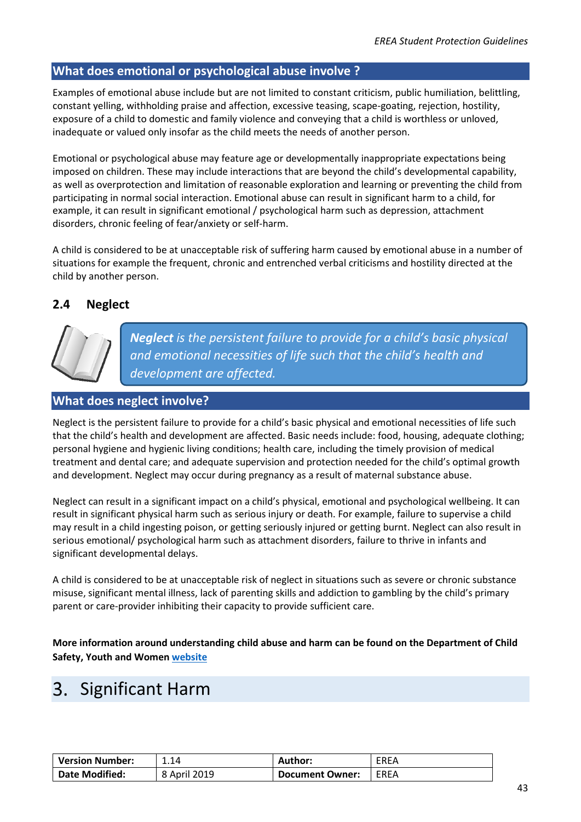#### **What does emotional or psychological abuse involve ?**

Examples of emotional abuse include but are not limited to constant criticism, public humiliation, belittling, constant yelling, withholding praise and affection, excessive teasing, scape-goating, rejection, hostility, exposure of a child to domestic and family violence and conveying that a child is worthless or unloved, inadequate or valued only insofar as the child meets the needs of another person.

Emotional or psychological abuse may feature age or developmentally inappropriate expectations being imposed on children. These may include interactions that are beyond the child's developmental capability, as well as overprotection and limitation of reasonable exploration and learning or preventing the child from participating in normal social interaction. Emotional abuse can result in significant harm to a child, for example, it can result in significant emotional / psychological harm such as depression, attachment disorders, chronic feeling of fear/anxiety or self-harm.

A child is considered to be at unacceptable risk of suffering harm caused by emotional abuse in a number of situations for example the frequent, chronic and entrenched verbal criticisms and hostility directed at the child by another person.

#### <span id="page-42-1"></span>**2.4 Neglect**



*Neglect is the persistent failure to provide for a child's basic physical and emotional necessities of life such that the child's health and development are affected.*

#### **What does neglect involve?**

Neglect is the persistent failure to provide for a child's basic physical and emotional necessities of life such that the child's health and development are affected. Basic needs include: food, housing, adequate clothing; personal hygiene and hygienic living conditions; health care, including the timely provision of medical treatment and dental care; and adequate supervision and protection needed for the child's optimal growth and development. Neglect may occur during pregnancy as a result of maternal substance abuse.

Neglect can result in a significant impact on a child's physical, emotional and psychological wellbeing. It can result in significant physical harm such as serious injury or death. For example, failure to supervise a child may result in a child ingesting poison, or getting seriously injured or getting burnt. Neglect can also result in serious emotional/ psychological harm such as attachment disorders, failure to thrive in infants and significant developmental delays.

A child is considered to be at unacceptable risk of neglect in situations such as severe or chronic substance misuse, significant mental illness, lack of parenting skills and addiction to gambling by the child's primary parent or care-provider inhibiting their capacity to provide sufficient care.

**More information around understanding child abuse and harm can be found on the Department of Child Safety, Youth and Women [website](https://www.communities.qld.gov.au/childsafety/protecting-children/what-is-child-abuse)**

### <span id="page-42-0"></span>Significant Harm

| <b>Version Number:</b> | 1.14         | <b>Author:</b>         | EREA |
|------------------------|--------------|------------------------|------|
| Date Modified:         | 8 April 2019 | <b>Document Owner:</b> | EREA |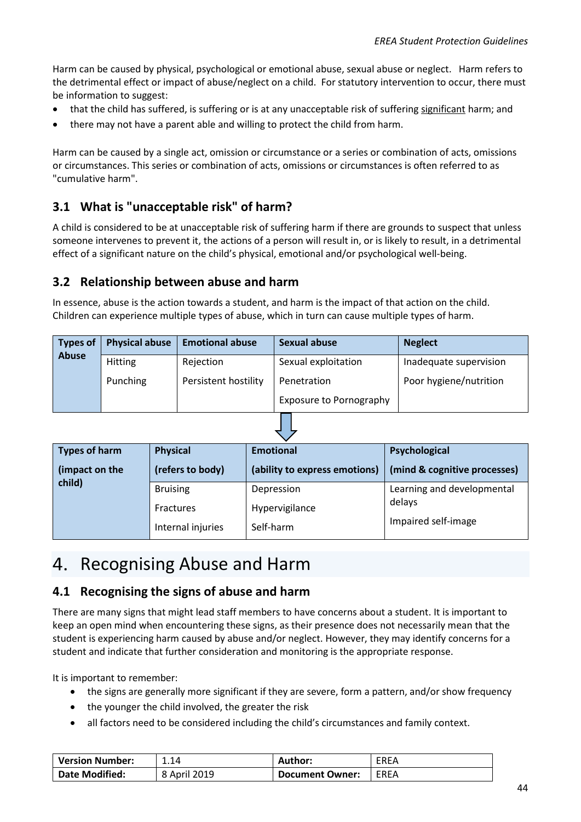Harm can be caused by physical, psychological or emotional abuse, sexual abuse or neglect. Harm refers to the detrimental effect or impact of abuse/neglect on a child. For statutory intervention to occur, there must be information to suggest:

- that the child has suffered, is suffering or is at any unacceptable risk of suffering significant harm; and
- there may not have a parent able and willing to protect the child from harm.

Harm can be caused by a single act, omission or circumstance or a series or combination of acts, omissions or circumstances. This series or combination of acts, omissions or circumstances is often referred to as "cumulative harm".

#### <span id="page-43-1"></span>**3.1 What is "unacceptable risk" of harm?**

A child is considered to be at unacceptable risk of suffering harm if there are grounds to suspect that unless someone intervenes to prevent it, the actions of a person will result in, or is likely to result, in a detrimental effect of a significant nature on the child's physical, emotional and/or psychological well-being.

#### <span id="page-43-2"></span>**3.2 Relationship between abuse and harm**

In essence, abuse is the action towards a student, and harm is the impact of that action on the child. Children can experience multiple types of abuse, which in turn can cause multiple types of harm.

| <b>Types of</b> | <b>Physical abuse</b> | <b>Emotional abuse</b> | <b>Sexual abuse</b>            | <b>Neglect</b>         |
|-----------------|-----------------------|------------------------|--------------------------------|------------------------|
| <b>Abuse</b>    | <b>Hitting</b>        | Rejection              | Sexual exploitation            | Inadequate supervision |
|                 | Punching              | Persistent hostility   | Penetration                    | Poor hygiene/nutrition |
|                 |                       |                        | <b>Exposure to Pornography</b> |                        |

| <b>Types of harm</b> | <b>Physical</b>   | <b>Emotional</b>              | Psychological                |
|----------------------|-------------------|-------------------------------|------------------------------|
| (impact on the       | (refers to body)  | (ability to express emotions) | (mind & cognitive processes) |
| child)               | <b>Bruising</b>   | Depression                    | Learning and developmental   |
|                      | Fractures         | Hypervigilance                | delays                       |
|                      | Internal injuries | Self-harm                     | Impaired self-image          |

### <span id="page-43-0"></span>4. Recognising Abuse and Harm

#### <span id="page-43-3"></span>**4.1 Recognising the signs of abuse and harm**

There are many signs that might lead staff members to have concerns about a student. It is important to keep an open mind when encountering these signs, as their presence does not necessarily mean that the student is experiencing harm caused by abuse and/or neglect. However, they may identify concerns for a student and indicate that further consideration and monitoring is the appropriate response.

It is important to remember:

- the signs are generally more significant if they are severe, form a pattern, and/or show frequency
- the younger the child involved, the greater the risk
- all factors need to be considered including the child's circumstances and family context.

| <b>Version Number:</b> | 1.14         | Author:                | <b>EREA</b> |
|------------------------|--------------|------------------------|-------------|
| <b>Date Modified:</b>  | 8 April 2019 | <b>Document Owner:</b> | EREA        |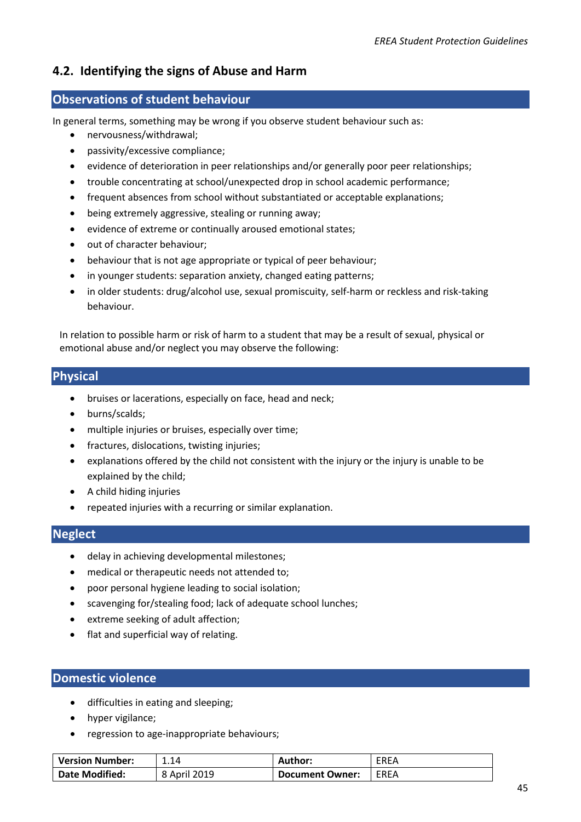#### <span id="page-44-0"></span>**4.2. Identifying the signs of Abuse and Harm**

#### **Observations of student behaviour**

In general terms, something may be wrong if you observe student behaviour such as:

- nervousness/withdrawal;
- passivity/excessive compliance;
- evidence of deterioration in peer relationships and/or generally poor peer relationships;
- trouble concentrating at school/unexpected drop in school academic performance;
- frequent absences from school without substantiated or acceptable explanations;
- being extremely aggressive, stealing or running away;
- evidence of extreme or continually aroused emotional states;
- out of character behaviour;
- behaviour that is not age appropriate or typical of peer behaviour;
- in younger students: separation anxiety, changed eating patterns;
- in older students: drug/alcohol use, sexual promiscuity, self-harm or reckless and risk-taking behaviour.

In relation to possible harm or risk of harm to a student that may be a result of sexual, physical or emotional abuse and/or neglect you may observe the following:

#### **Physical**

- bruises or lacerations, especially on face, head and neck;
- burns/scalds;
- multiple injuries or bruises, especially over time;
- fractures, dislocations, twisting injuries;
- explanations offered by the child not consistent with the injury or the injury is unable to be explained by the child;
- A child hiding injuries
- repeated injuries with a recurring or similar explanation.

#### **Neglect**

- delay in achieving developmental milestones;
- medical or therapeutic needs not attended to;
- poor personal hygiene leading to social isolation;
- scavenging for/stealing food; lack of adequate school lunches;
- extreme seeking of adult affection;
- flat and superficial way of relating.

#### **Domestic violence**

- difficulties in eating and sleeping;
- hyper vigilance;
- regression to age-inappropriate behaviours;

| <b>Version Number:</b> | 1.14         | Author:                | <b>EREA</b> |
|------------------------|--------------|------------------------|-------------|
| <b>Date Modified:</b>  | 8 April 2019 | <b>Document Owner:</b> | EREA        |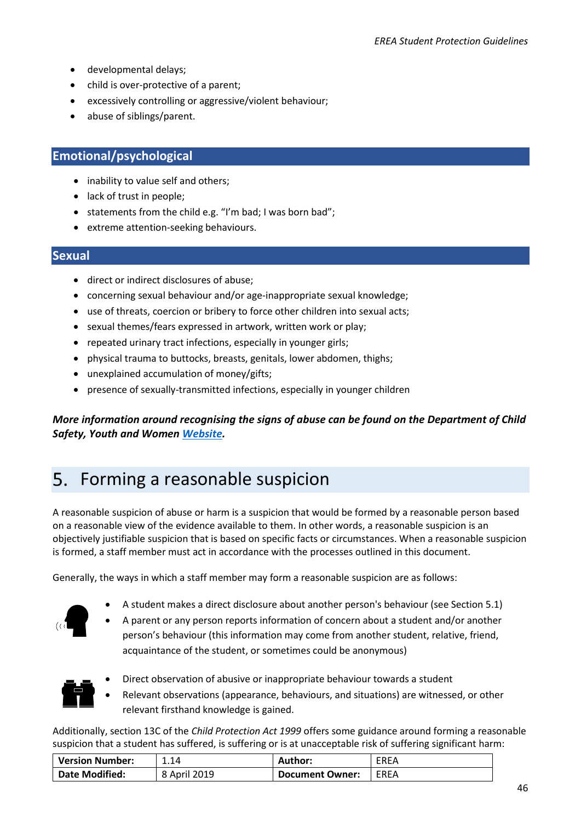- developmental delays;
- child is over-protective of a parent;
- excessively controlling or aggressive/violent behaviour;
- abuse of siblings/parent.

#### **Emotional/psychological**

- inability to value self and others;
- lack of trust in people;
- statements from the child e.g. "I'm bad; I was born bad";
- extreme attention-seeking behaviours.

#### **Sexual**

- direct or indirect disclosures of abuse;
- concerning sexual behaviour and/or age-inappropriate sexual knowledge;
- use of threats, coercion or bribery to force other children into sexual acts;
- sexual themes/fears expressed in artwork, written work or play;
- repeated urinary tract infections, especially in younger girls;
- physical trauma to buttocks, breasts, genitals, lower abdomen, thighs;
- unexplained accumulation of money/gifts;
- presence of sexually-transmitted infections, especially in younger children

*More information around recognising the signs of abuse can be found on the Department of Child Safety, Youth and Women [Website.](https://www.communities.qld.gov.au/childsafety/protecting-children/what-is-child-abuse/signs-of-child-abuse-and-neglect)*

## <span id="page-45-0"></span>5. Forming a reasonable suspicion

A reasonable suspicion of abuse or harm is a suspicion that would be formed by a reasonable person based on a reasonable view of the evidence available to them. In other words, a reasonable suspicion is an objectively justifiable suspicion that is based on specific facts or circumstances. When a reasonable suspicion is formed, a staff member must act in accordance with the processes outlined in this document.

Generally, the ways in which a staff member may form a reasonable suspicion are as follows:



- A student makes a direct disclosure about another person's behaviour (see Section 5.1)
- A parent or any person reports information of concern about a student and/or another person's behaviour (this information may come from another student, relative, friend, acquaintance of the student, or sometimes could be anonymous)



- Direct observation of abusive or inappropriate behaviour towards a student
- Relevant observations (appearance, behaviours, and situations) are witnessed, or other relevant firsthand knowledge is gained.

Additionally, section 13C of the *Child Protection Act 1999* offers some guidance around forming a reasonable suspicion that a student has suffered, is suffering or is at unacceptable risk of suffering significant harm:

| <b>Version Number:</b> | 1.14         | Author:         | EREA |
|------------------------|--------------|-----------------|------|
| Date Modified:         | 8 April 2019 | Document Owner: | EREA |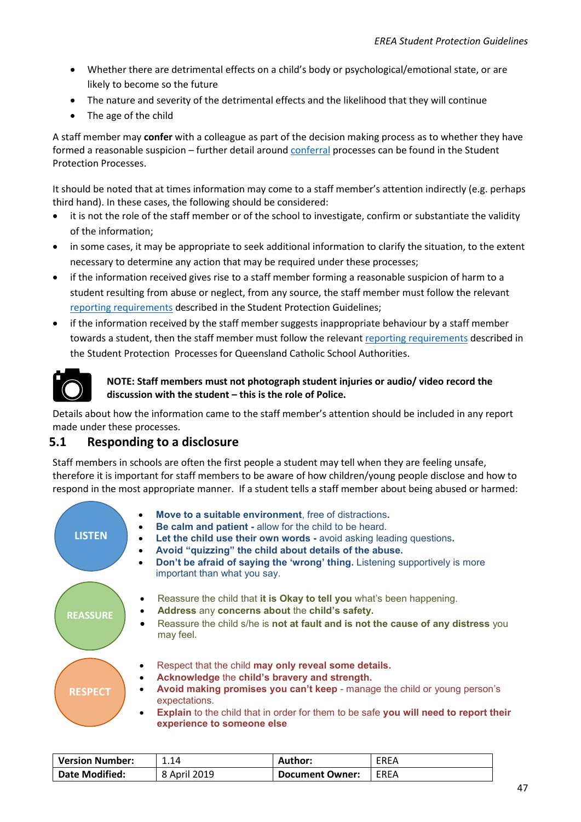- Whether there are detrimental effects on a child's body or psychological/emotional state, or are likely to become so the future
- The nature and severity of the detrimental effects and the likelihood that they will continue
- The age of the child

A staff member may **confer** with a colleague as part of the decision making process as to whether they have formed a reasonable suspicion – further detail around [conferral](#page-7-2) processes can be found in the Student Protection Processes.

It should be noted that at times information may come to a staff member's attention indirectly (e.g. perhaps third hand). In these cases, the following should be considered:

- it is not the role of the staff member or of the school to investigate, confirm or substantiate the validity of the information;
- in some cases, it may be appropriate to seek additional information to clarify the situation, to the extent necessary to determine any action that may be required under these processes;
- if the information received gives rise to a staff member forming a reasonable suspicion of harm to a student resulting from abuse or neglect, from any source, the staff member must follow the relevant [reporting requirements](#page-7-1) described in the Student Protection Guidelines;
- if the information received by the staff member suggests inappropriate behaviour by a staff member towards a student, then the staff member must follow the relevant [reporting requirements](#page-16-4) described in the Student Protection Processes for Queensland Catholic School Authorities.



#### **NOTE: Staff members must not photograph student injuries or audio/ video record the discussion with the student – this is the role of Police.**

Details about how the information came to the staff member's attention should be included in any report made under these processes.

#### <span id="page-46-0"></span>**5.1 Responding to a disclosure**

Staff members in schools are often the first people a student may tell when they are feeling unsafe, therefore it is important for staff members to be aware of how children/young people disclose and how to respond in the most appropriate manner. If a student tells a staff member about being abused or harmed:



| <b>Version Number:</b> | 1.14         | Author:                | EREA |
|------------------------|--------------|------------------------|------|
| <b>Date Modified:</b>  | 8 April 2019 | <b>Document Owner:</b> | EREA |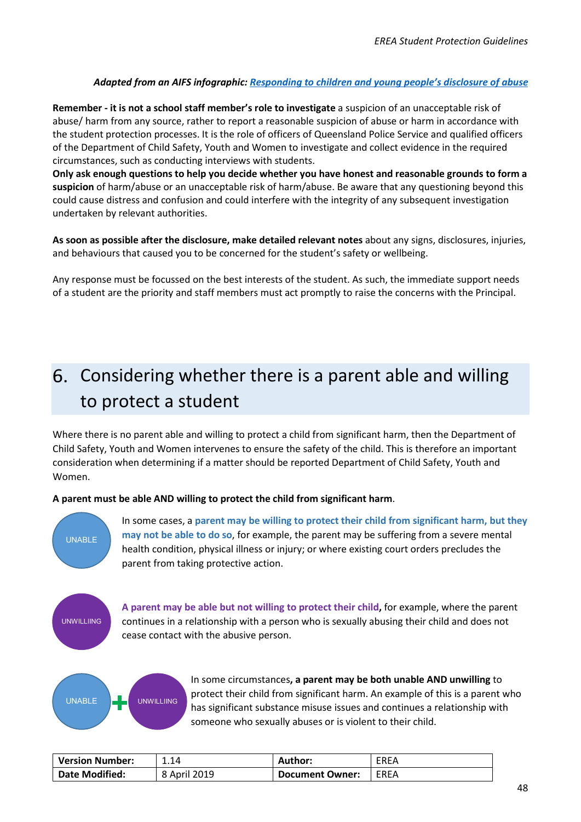#### *Adapted from an AIFS infographic: [Responding to children and young people's disclosure of abuse](https://aifs.gov.au/cfca/sites/default/files/disclosure-infographic.pdf)*

**Remember - it is not a school staff member's role to investigate** a suspicion of an unacceptable risk of abuse/ harm from any source, rather to report a reasonable suspicion of abuse or harm in accordance with the student protection processes. It is the role of officers of Queensland Police Service and qualified officers of the Department of Child Safety, Youth and Women to investigate and collect evidence in the required circumstances, such as conducting interviews with students.

**Only ask enough questions to help you decide whether you have honest and reasonable grounds to form a suspicion** of harm/abuse or an unacceptable risk of harm/abuse. Be aware that any questioning beyond this could cause distress and confusion and could interfere with the integrity of any subsequent investigation undertaken by relevant authorities.

**As soon as possible after the disclosure, make detailed relevant notes** about any signs, disclosures, injuries, and behaviours that caused you to be concerned for the student's safety or wellbeing.

Any response must be focussed on the best interests of the student. As such, the immediate support needs of a student are the priority and staff members must act promptly to raise the concerns with the Principal.

# <span id="page-47-0"></span>Considering whether there is a parent able and willing to protect a student

Where there is no parent able and willing to protect a child from significant harm, then the Department of Child Safety, Youth and Women intervenes to ensure the safety of the child. This is therefore an important consideration when determining if a matter should be reported Department of Child Safety, Youth and Women.

#### **A parent must be able AND willing to protect the child from significant harm**.



In some cases, a **parent may be willing to protect their child from significant harm, but they may not be able to do so**, for example, the parent may be suffering from a severe mental health condition, physical illness or injury; or where existing court orders precludes the parent from taking protective action.

UNWILLIING

**A parent may be able but not willing to protect their child,** for example, where the parent continues in a relationship with a person who is sexually abusing their child and does not cease contact with the abusive person.



In some circumstances**, a parent may be both unable AND unwilling** to protect their child from significant harm. An example of this is a parent who has significant substance misuse issues and continues a relationship with someone who sexually abuses or is violent to their child.

| <b>Version Number:</b> | 1.14         | Author:                | <b>EREA</b> |
|------------------------|--------------|------------------------|-------------|
| <b>Date Modified:</b>  | 8 April 2019 | <b>Document Owner:</b> | EREA        |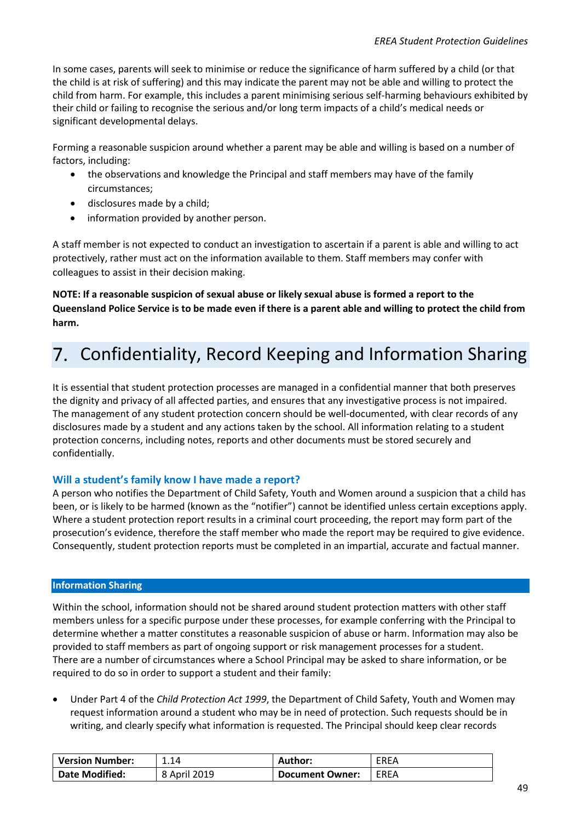In some cases, parents will seek to minimise or reduce the significance of harm suffered by a child (or that the child is at risk of suffering) and this may indicate the parent may not be able and willing to protect the child from harm. For example, this includes a parent minimising serious self-harming behaviours exhibited by their child or failing to recognise the serious and/or long term impacts of a child's medical needs or significant developmental delays.

Forming a reasonable suspicion around whether a parent may be able and willing is based on a number of factors, including:

- the observations and knowledge the Principal and staff members may have of the family circumstances;
- disclosures made by a child;
- information provided by another person.

A staff member is not expected to conduct an investigation to ascertain if a parent is able and willing to act protectively, rather must act on the information available to them. Staff members may confer with colleagues to assist in their decision making.

**NOTE: If a reasonable suspicion of sexual abuse or likely sexual abuse is formed a report to the Queensland Police Service is to be made even if there is a parent able and willing to protect the child from harm.**

# <span id="page-48-0"></span>7. Confidentiality, Record Keeping and Information Sharing

It is essential that student protection processes are managed in a confidential manner that both preserves the dignity and privacy of all affected parties, and ensures that any investigative process is not impaired. The management of any student protection concern should be well-documented, with clear records of any disclosures made by a student and any actions taken by the school. All information relating to a student protection concerns, including notes, reports and other documents must be stored securely and confidentially.

#### **Will a student's family know I have made a report?**

A person who notifies the Department of Child Safety, Youth and Women around a suspicion that a child has been, or is likely to be harmed (known as the "notifier") cannot be identified unless certain exceptions apply. Where a student protection report results in a criminal court proceeding, the report may form part of the prosecution's evidence, therefore the staff member who made the report may be required to give evidence. Consequently, student protection reports must be completed in an impartial, accurate and factual manner.

#### <span id="page-48-1"></span>**Information Sharing**

Within the school, information should not be shared around student protection matters with other staff members unless for a specific purpose under these processes, for example conferring with the Principal to determine whether a matter constitutes a reasonable suspicion of abuse or harm. Information may also be provided to staff members as part of ongoing support or risk management processes for a student. There are a number of circumstances where a School Principal may be asked to share information, or be required to do so in order to support a student and their family:

• Under Part 4 of the *Child Protection Act 1999*, the Department of Child Safety, Youth and Women may request information around a student who may be in need of protection. Such requests should be in writing, and clearly specify what information is requested. The Principal should keep clear records

| <b>Version Number:</b> | 1.14         | <b>Author:</b>         | EREA |
|------------------------|--------------|------------------------|------|
| <b>Date Modified:</b>  | 8 April 2019 | <b>Document Owner:</b> | EREA |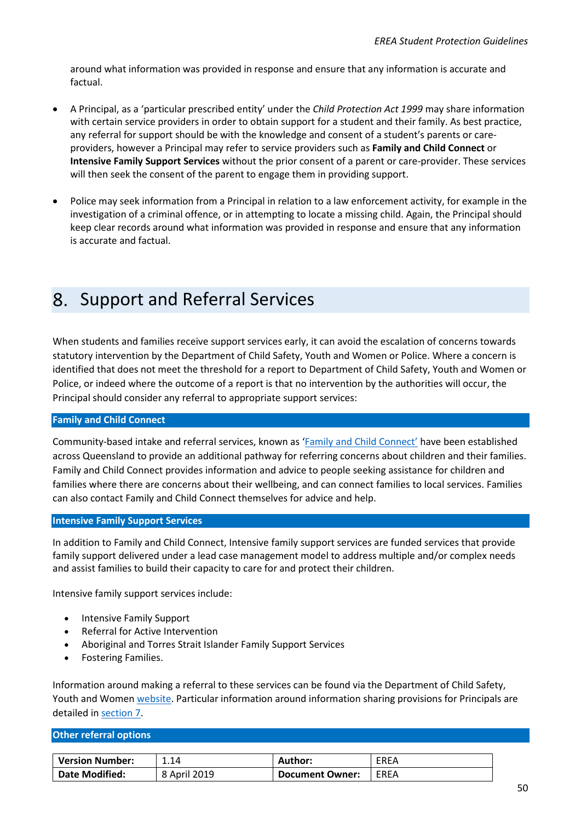around what information was provided in response and ensure that any information is accurate and factual.

- A Principal, as a 'particular prescribed entity' under the *Child Protection Act 1999* may share information with certain service providers in order to obtain support for a student and their family. As best practice, any referral for support should be with the knowledge and consent of a student's parents or careproviders, however a Principal may refer to service providers such as **Family and Child Connect** or **Intensive Family Support Services** without the prior consent of a parent or care-provider. These services will then seek the consent of the parent to engage them in providing support.
- Police may seek information from a Principal in relation to a law enforcement activity, for example in the investigation of a criminal offence, or in attempting to locate a missing child. Again, the Principal should keep clear records around what information was provided in response and ensure that any information is accurate and factual.

# <span id="page-49-0"></span>8. Support and Referral Services

When students and families receive support services early, it can avoid the escalation of concerns towards statutory intervention by the Department of Child Safety, Youth and Women or Police. Where a concern is identified that does not meet the threshold for a report to Department of Child Safety, Youth and Women or Police, or indeed where the outcome of a report is that no intervention by the authorities will occur, the Principal should consider any referral to appropriate support services:

#### **Family and Child Connect**

Community-based intake and referral services, known as ['Family and Child Connect'](http://www.familychildconnect.org.au/index.asp) have been established across Queensland to provide an additional pathway for referring concerns about children and their families. Family and Child Connect provides information and advice to people seeking assistance for children and families where there are concerns about their wellbeing, and can connect families to local services. Families can also contact Family and Child Connect themselves for advice and help.

#### **Intensive Family Support Services**

In addition to Family and Child Connect, Intensive family support services are funded services that provide family support delivered under a lead case management model to address multiple and/or complex needs and assist families to build their capacity to care for and protect their children.

Intensive family support services include:

- Intensive Family Support
- Referral for Active Intervention
- Aboriginal and Torres Strait Islander Family Support Services
- Fostering Families.

Information around making a referral to these services can be found via the Department of Child Safety, Youth and Women [website.](https://www.communities.qld.gov.au/childsafety/child-safety-practice-manual/chapters/10-general/10-14-referring-to-family-and-child-connect-or-intensive-family-support-services-for-early-intervention) Particular information around information sharing provisions for Principals are detailed in [section](#page-48-1) 7.

#### **Other referral options**

| <b>Version Number:</b> | 1.14         | Author:         | EREA |
|------------------------|--------------|-----------------|------|
| <b>Date Modified:</b>  | 8 April 2019 | Document Owner: | EREA |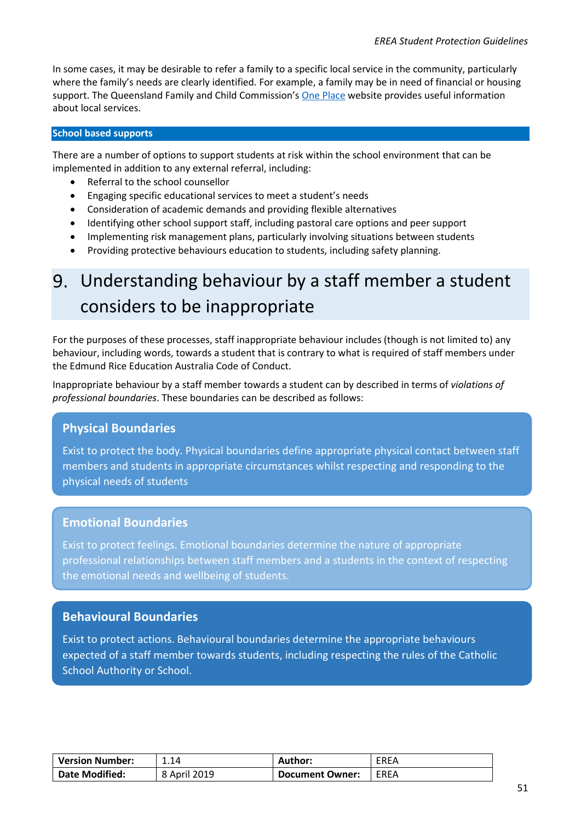In some cases, it may be desirable to refer a family to a specific local service in the community, particularly where the family's needs are clearly identified. For example, a family may be in need of financial or housing support. The Queensland Family and Child Commission's [One Place](https://www.oneplace.org.au/) website provides useful information about local services.

#### **School based supports**

There are a number of options to support students at risk within the school environment that can be implemented in addition to any external referral, including:

- Referral to the school counsellor
- Engaging specific educational services to meet a student's needs
- Consideration of academic demands and providing flexible alternatives
- Identifying other school support staff, including pastoral care options and peer support
- Implementing risk management plans, particularly involving situations between students
- Providing protective behaviours education to students, including safety planning.

# <span id="page-50-0"></span>Understanding behaviour by a staff member a student considers to be inappropriate

For the purposes of these processes, staff inappropriate behaviour includes (though is not limited to) any behaviour, including words, towards a student that is contrary to what is required of staff members under the Edmund Rice Education Australia Code of Conduct.

Inappropriate behaviour by a staff member towards a student can by described in terms of *violations of professional boundaries*. These boundaries can be described as follows:

#### **Physical Boundaries**

Exist to protect the body. Physical boundaries define appropriate physical contact between staff members and students in appropriate circumstances whilst respecting and responding to the physical needs of students

#### **Emotional Boundaries**

Exist to protect feelings. Emotional boundaries determine the nature of appropriate professional relationships between staff members and a students in the context of respecting the emotional needs and wellbeing of students.

#### **Behavioural Boundaries**

Exist to protect actions. Behavioural boundaries determine the appropriate behaviours expected of a staff member towards students, including respecting the rules of the Catholic School Authority or School.

| <b>Version Number:</b> | 1.14         | Author:         | <b>EREA</b> |
|------------------------|--------------|-----------------|-------------|
| <b>Date Modified:</b>  | 8 April 2019 | Document Owner: | EREA        |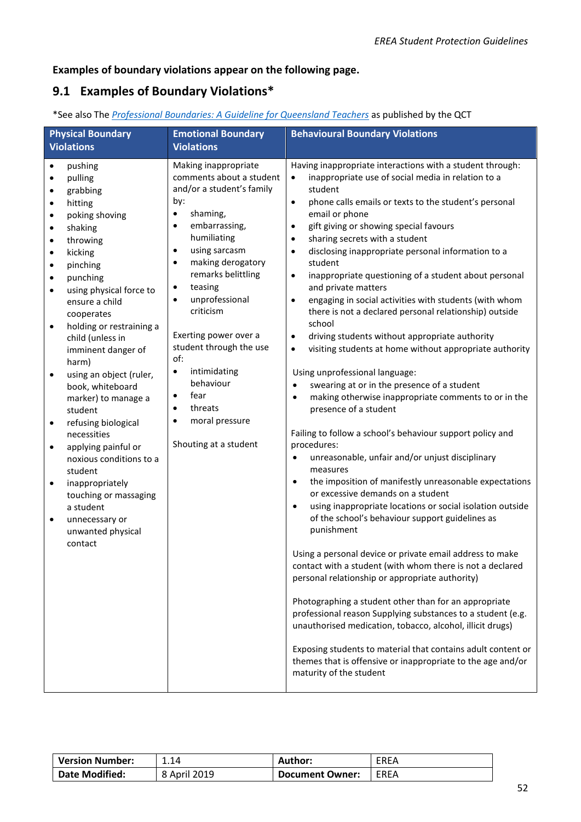#### **Examples of boundary violations appear on the following page.**

### **9.1 Examples of Boundary Violations\***

| *See also The Professional Boundaries: A Guideline for Queensland Teachers as published by the QCT |  |
|----------------------------------------------------------------------------------------------------|--|
|                                                                                                    |  |

| <b>Physical Boundary</b><br><b>Violations</b>                                                                                                                                                                                                                                                                                                                                                                                                                                                                                                                                                                                                                                                                              | <b>Emotional Boundary</b><br><b>Violations</b>                                                                                                                                                                                                                                                                                                                                                                                                                                                                                 | <b>Behavioural Boundary Violations</b>                                                                                                                                                                                                                                                                                                                                                                                                                                                                                                                                                                                                                                                                                                                                                                                                                                                                                                                                                                                                                                                                                                                                                                                                                                                                                                                                                                                                                                                                                                                                                                                                                                                                                                                                                                                                                                                                                      |
|----------------------------------------------------------------------------------------------------------------------------------------------------------------------------------------------------------------------------------------------------------------------------------------------------------------------------------------------------------------------------------------------------------------------------------------------------------------------------------------------------------------------------------------------------------------------------------------------------------------------------------------------------------------------------------------------------------------------------|--------------------------------------------------------------------------------------------------------------------------------------------------------------------------------------------------------------------------------------------------------------------------------------------------------------------------------------------------------------------------------------------------------------------------------------------------------------------------------------------------------------------------------|-----------------------------------------------------------------------------------------------------------------------------------------------------------------------------------------------------------------------------------------------------------------------------------------------------------------------------------------------------------------------------------------------------------------------------------------------------------------------------------------------------------------------------------------------------------------------------------------------------------------------------------------------------------------------------------------------------------------------------------------------------------------------------------------------------------------------------------------------------------------------------------------------------------------------------------------------------------------------------------------------------------------------------------------------------------------------------------------------------------------------------------------------------------------------------------------------------------------------------------------------------------------------------------------------------------------------------------------------------------------------------------------------------------------------------------------------------------------------------------------------------------------------------------------------------------------------------------------------------------------------------------------------------------------------------------------------------------------------------------------------------------------------------------------------------------------------------------------------------------------------------------------------------------------------------|
| pushing<br>pulling<br>grabbing<br>hitting<br>$\bullet$<br>poking shoving<br>$\bullet$<br>shaking<br>$\bullet$<br>throwing<br>$\bullet$<br>kicking<br>$\bullet$<br>pinching<br>punching<br>$\bullet$<br>using physical force to<br>ensure a child<br>cooperates<br>holding or restraining a<br>$\bullet$<br>child (unless in<br>imminent danger of<br>harm)<br>using an object (ruler,<br>$\bullet$<br>book, whiteboard<br>marker) to manage a<br>student<br>refusing biological<br>$\bullet$<br>necessities<br>applying painful or<br>$\bullet$<br>noxious conditions to a<br>student<br>inappropriately<br>$\bullet$<br>touching or massaging<br>a student<br>unnecessary or<br>$\bullet$<br>unwanted physical<br>contact | Making inappropriate<br>comments about a student<br>and/or a student's family<br>by:<br>shaming,<br>$\bullet$<br>embarrassing,<br>$\bullet$<br>humiliating<br>using sarcasm<br>$\bullet$<br>making derogatory<br>$\bullet$<br>remarks belittling<br>teasing<br>$\bullet$<br>unprofessional<br>$\bullet$<br>criticism<br>Exerting power over a<br>student through the use<br>of:<br>intimidating<br>$\bullet$<br>behaviour<br>fear<br>$\bullet$<br>threats<br>$\bullet$<br>moral pressure<br>$\bullet$<br>Shouting at a student | Having inappropriate interactions with a student through:<br>inappropriate use of social media in relation to a<br>student<br>phone calls emails or texts to the student's personal<br>$\bullet$<br>email or phone<br>gift giving or showing special favours<br>$\bullet$<br>sharing secrets with a student<br>$\bullet$<br>disclosing inappropriate personal information to a<br>$\bullet$<br>student<br>inappropriate questioning of a student about personal<br>$\bullet$<br>and private matters<br>engaging in social activities with students (with whom<br>$\bullet$<br>there is not a declared personal relationship) outside<br>school<br>driving students without appropriate authority<br>$\bullet$<br>visiting students at home without appropriate authority<br>$\bullet$<br>Using unprofessional language:<br>swearing at or in the presence of a student<br>$\bullet$<br>making otherwise inappropriate comments to or in the<br>$\bullet$<br>presence of a student<br>Failing to follow a school's behaviour support policy and<br>procedures:<br>unreasonable, unfair and/or unjust disciplinary<br>$\bullet$<br>measures<br>the imposition of manifestly unreasonable expectations<br>$\bullet$<br>or excessive demands on a student<br>using inappropriate locations or social isolation outside<br>$\bullet$<br>of the school's behaviour support guidelines as<br>punishment<br>Using a personal device or private email address to make<br>contact with a student (with whom there is not a declared<br>personal relationship or appropriate authority)<br>Photographing a student other than for an appropriate<br>professional reason Supplying substances to a student (e.g.<br>unauthorised medication, tobacco, alcohol, illicit drugs)<br>Exposing students to material that contains adult content or<br>themes that is offensive or inappropriate to the age and/or<br>maturity of the student |

<span id="page-51-0"></span>

| <b>Version Number:</b> | 1.14         | Author:                | EREA        |
|------------------------|--------------|------------------------|-------------|
| <b>Date Modified:</b>  | 8 April 2019 | <b>Document Owner:</b> | <b>EREA</b> |